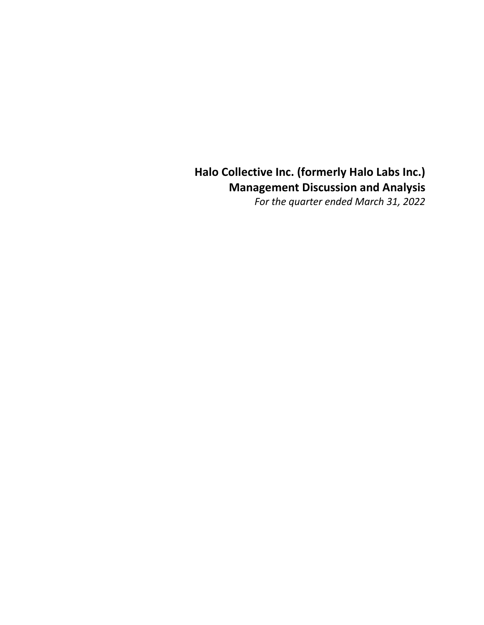# Halo Collective Inc. (formerly Halo Labs Inc.) Management Discussion and Analysis

For the quarter ended March 31, 2022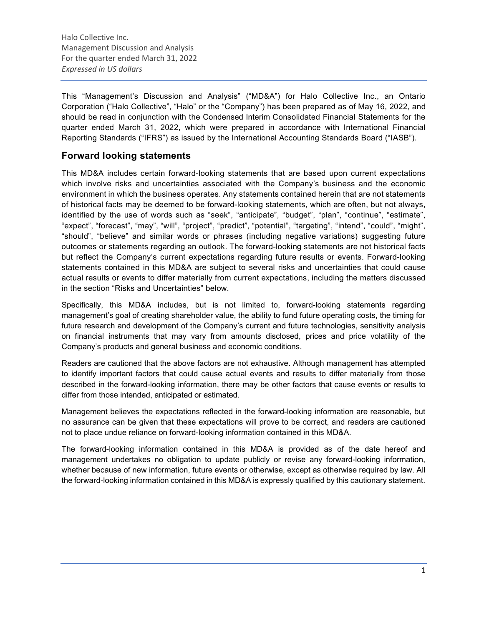This "Management's Discussion and Analysis" ("MD&A") for Halo Collective Inc., an Ontario Corporation ("Halo Collective", "Halo" or the "Company") has been prepared as of May 16, 2022, and should be read in conjunction with the Condensed Interim Consolidated Financial Statements for the quarter ended March 31, 2022, which were prepared in accordance with International Financial Reporting Standards ("IFRS") as issued by the International Accounting Standards Board ("IASB").

## Forward looking statements

This MD&A includes certain forward-looking statements that are based upon current expectations which involve risks and uncertainties associated with the Company's business and the economic environment in which the business operates. Any statements contained herein that are not statements of historical facts may be deemed to be forward-looking statements, which are often, but not always, identified by the use of words such as "seek", "anticipate", "budget", "plan", "continue", "estimate", "expect", "forecast", "may", "will", "project", "predict", "potential", "targeting", "intend", "could", "might", "should", "believe" and similar words or phrases (including negative variations) suggesting future outcomes or statements regarding an outlook. The forward-looking statements are not historical facts but reflect the Company's current expectations regarding future results or events. Forward-looking statements contained in this MD&A are subject to several risks and uncertainties that could cause actual results or events to differ materially from current expectations, including the matters discussed in the section "Risks and Uncertainties" below.

Specifically, this MD&A includes, but is not limited to, forward-looking statements regarding management's goal of creating shareholder value, the ability to fund future operating costs, the timing for future research and development of the Company's current and future technologies, sensitivity analysis on financial instruments that may vary from amounts disclosed, prices and price volatility of the Company's products and general business and economic conditions.

Readers are cautioned that the above factors are not exhaustive. Although management has attempted to identify important factors that could cause actual events and results to differ materially from those described in the forward-looking information, there may be other factors that cause events or results to differ from those intended, anticipated or estimated.

Management believes the expectations reflected in the forward-looking information are reasonable, but no assurance can be given that these expectations will prove to be correct, and readers are cautioned not to place undue reliance on forward-looking information contained in this MD&A.

The forward-looking information contained in this MD&A is provided as of the date hereof and management undertakes no obligation to update publicly or revise any forward-looking information, whether because of new information, future events or otherwise, except as otherwise required by law. All the forward-looking information contained in this MD&A is expressly qualified by this cautionary statement.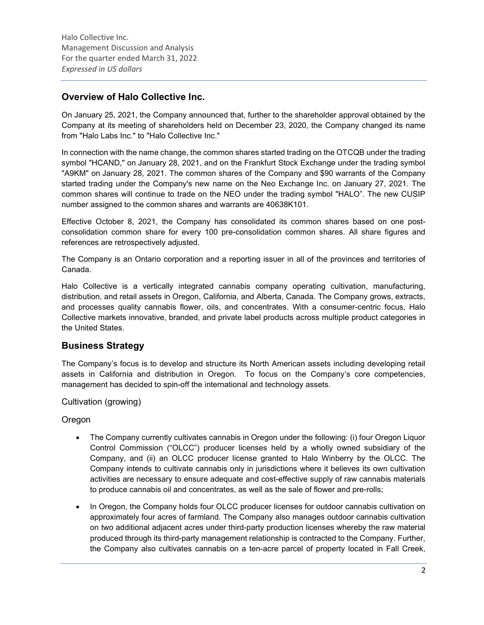## Overview of Halo Collective Inc.

On January 25, 2021, the Company announced that, further to the shareholder approval obtained by the Company at its meeting of shareholders held on December 23, 2020, the Company changed its name from "Halo Labs Inc." to "Halo Collective Inc."

In connection with the name change, the common shares started trading on the OTCQB under the trading symbol "HCAND," on January 28, 2021, and on the Frankfurt Stock Exchange under the trading symbol "A9KM" on January 28, 2021. The common shares of the Company and \$90 warrants of the Company started trading under the Company's new name on the Neo Exchange Inc. on January 27, 2021. The common shares will continue to trade on the NEO under the trading symbol "HALO". The new CUSIP number assigned to the common shares and warrants are 40638K101.

Effective October 8, 2021, the Company has consolidated its common shares based on one postconsolidation common share for every 100 pre-consolidation common shares. All share figures and references are retrospectively adjusted.

The Company is an Ontario corporation and a reporting issuer in all of the provinces and territories of Canada.

Halo Collective is a vertically integrated cannabis company operating cultivation, manufacturing, distribution, and retail assets in Oregon, California, and Alberta, Canada. The Company grows, extracts, and processes quality cannabis flower, oils, and concentrates. With a consumer-centric focus, Halo Collective markets innovative, branded, and private label products across multiple product categories in the United States.

## Business Strategy

The Company's focus is to develop and structure its North American assets including developing retail assets in California and distribution in Oregon. To focus on the Company's core competencies, management has decided to spin-off the international and technology assets.

Cultivation (growing)

Oregon

- The Company currently cultivates cannabis in Oregon under the following: (i) four Oregon Liquor Control Commission ("OLCC") producer licenses held by a wholly owned subsidiary of the Company, and (ii) an OLCC producer license granted to Halo Winberry by the OLCC. The Company intends to cultivate cannabis only in jurisdictions where it believes its own cultivation activities are necessary to ensure adequate and cost-effective supply of raw cannabis materials to produce cannabis oil and concentrates, as well as the sale of flower and pre-rolls;
- In Oregon, the Company holds four OLCC producer licenses for outdoor cannabis cultivation on approximately four acres of farmland. The Company also manages outdoor cannabis cultivation on two additional adjacent acres under third-party production licenses whereby the raw material produced through its third-party management relationship is contracted to the Company. Further, the Company also cultivates cannabis on a ten-acre parcel of property located in Fall Creek,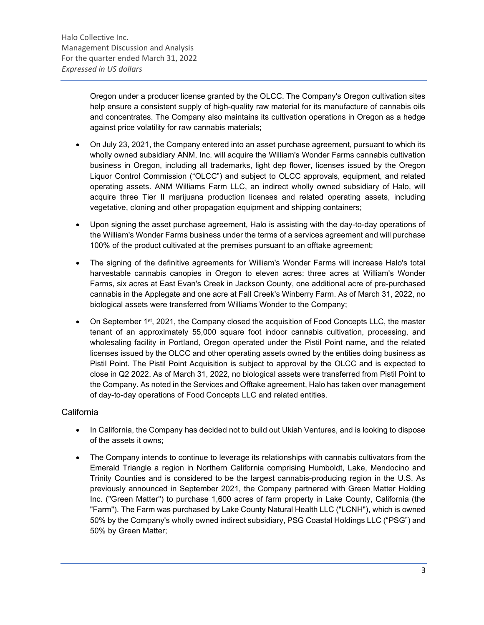Oregon under a producer license granted by the OLCC. The Company's Oregon cultivation sites help ensure a consistent supply of high-quality raw material for its manufacture of cannabis oils and concentrates. The Company also maintains its cultivation operations in Oregon as a hedge against price volatility for raw cannabis materials;

- On July 23, 2021, the Company entered into an asset purchase agreement, pursuant to which its wholly owned subsidiary ANM, Inc. will acquire the William's Wonder Farms cannabis cultivation business in Oregon, including all trademarks, light dep flower, licenses issued by the Oregon Liquor Control Commission ("OLCC") and subject to OLCC approvals, equipment, and related operating assets. ANM Williams Farm LLC, an indirect wholly owned subsidiary of Halo, will acquire three Tier II marijuana production licenses and related operating assets, including vegetative, cloning and other propagation equipment and shipping containers;
- Upon signing the asset purchase agreement, Halo is assisting with the day-to-day operations of the William's Wonder Farms business under the terms of a services agreement and will purchase 100% of the product cultivated at the premises pursuant to an offtake agreement;
- The signing of the definitive agreements for William's Wonder Farms will increase Halo's total harvestable cannabis canopies in Oregon to eleven acres: three acres at William's Wonder Farms, six acres at East Evan's Creek in Jackson County, one additional acre of pre-purchased cannabis in the Applegate and one acre at Fall Creek's Winberry Farm. As of March 31, 2022, no biological assets were transferred from Williams Wonder to the Company;
- On September 1st, 2021, the Company closed the acquisition of Food Concepts LLC, the master tenant of an approximately 55,000 square foot indoor cannabis cultivation, processing, and wholesaling facility in Portland, Oregon operated under the Pistil Point name, and the related licenses issued by the OLCC and other operating assets owned by the entities doing business as Pistil Point. The Pistil Point Acquisition is subject to approval by the OLCC and is expected to close in Q2 2022. As of March 31, 2022, no biological assets were transferred from Pistil Point to the Company. As noted in the Services and Offtake agreement, Halo has taken over management of day-to-day operations of Food Concepts LLC and related entities.

## California

- In California, the Company has decided not to build out Ukiah Ventures, and is looking to dispose of the assets it owns;
- The Company intends to continue to leverage its relationships with cannabis cultivators from the Emerald Triangle a region in Northern California comprising Humboldt, Lake, Mendocino and Trinity Counties and is considered to be the largest cannabis-producing region in the U.S. As previously announced in September 2021, the Company partnered with Green Matter Holding Inc. ("Green Matter") to purchase 1,600 acres of farm property in Lake County, California (the "Farm"). The Farm was purchased by Lake County Natural Health LLC ("LCNH"), which is owned 50% by the Company's wholly owned indirect subsidiary, PSG Coastal Holdings LLC ("PSG") and 50% by Green Matter;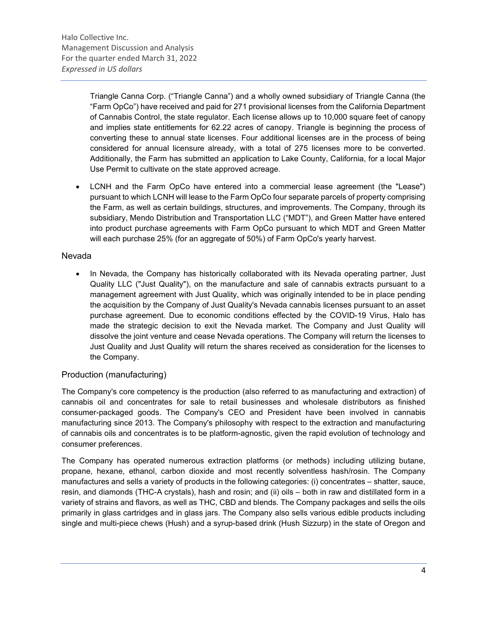Triangle Canna Corp. ("Triangle Canna") and a wholly owned subsidiary of Triangle Canna (the "Farm OpCo") have received and paid for 271 provisional licenses from the California Department of Cannabis Control, the state regulator. Each license allows up to 10,000 square feet of canopy and implies state entitlements for 62.22 acres of canopy. Triangle is beginning the process of converting these to annual state licenses. Four additional licenses are in the process of being considered for annual licensure already, with a total of 275 licenses more to be converted. Additionally, the Farm has submitted an application to Lake County, California, for a local Major Use Permit to cultivate on the state approved acreage.

 LCNH and the Farm OpCo have entered into a commercial lease agreement (the "Lease") pursuant to which LCNH will lease to the Farm OpCo four separate parcels of property comprising the Farm, as well as certain buildings, structures, and improvements. The Company, through its subsidiary, Mendo Distribution and Transportation LLC ("MDT"), and Green Matter have entered into product purchase agreements with Farm OpCo pursuant to which MDT and Green Matter will each purchase 25% (for an aggregate of 50%) of Farm OpCo's yearly harvest.

## Nevada

 In Nevada, the Company has historically collaborated with its Nevada operating partner, Just Quality LLC ("Just Quality"), on the manufacture and sale of cannabis extracts pursuant to a management agreement with Just Quality, which was originally intended to be in place pending the acquisition by the Company of Just Quality's Nevada cannabis licenses pursuant to an asset purchase agreement. Due to economic conditions effected by the COVID-19 Virus, Halo has made the strategic decision to exit the Nevada market. The Company and Just Quality will dissolve the joint venture and cease Nevada operations. The Company will return the licenses to Just Quality and Just Quality will return the shares received as consideration for the licenses to the Company.

## Production (manufacturing)

The Company's core competency is the production (also referred to as manufacturing and extraction) of cannabis oil and concentrates for sale to retail businesses and wholesale distributors as finished consumer-packaged goods. The Company's CEO and President have been involved in cannabis manufacturing since 2013. The Company's philosophy with respect to the extraction and manufacturing of cannabis oils and concentrates is to be platform-agnostic, given the rapid evolution of technology and consumer preferences.

The Company has operated numerous extraction platforms (or methods) including utilizing butane, propane, hexane, ethanol, carbon dioxide and most recently solventless hash/rosin. The Company manufactures and sells a variety of products in the following categories: (i) concentrates – shatter, sauce, resin, and diamonds (THC-A crystals), hash and rosin; and (ii) oils – both in raw and distillated form in a variety of strains and flavors, as well as THC, CBD and blends. The Company packages and sells the oils primarily in glass cartridges and in glass jars. The Company also sells various edible products including single and multi-piece chews (Hush) and a syrup-based drink (Hush Sizzurp) in the state of Oregon and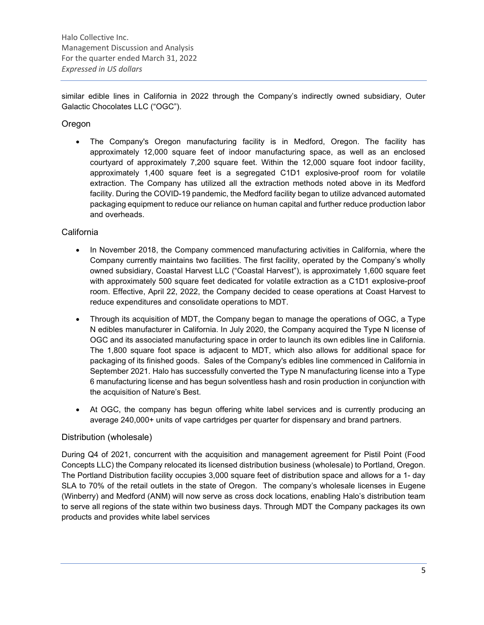similar edible lines in California in 2022 through the Company's indirectly owned subsidiary, Outer Galactic Chocolates LLC ("OGC").

## **Oregon**

 The Company's Oregon manufacturing facility is in Medford, Oregon. The facility has approximately 12,000 square feet of indoor manufacturing space, as well as an enclosed courtyard of approximately 7,200 square feet. Within the 12,000 square foot indoor facility, approximately 1,400 square feet is a segregated C1D1 explosive-proof room for volatile extraction. The Company has utilized all the extraction methods noted above in its Medford facility. During the COVID-19 pandemic, the Medford facility began to utilize advanced automated packaging equipment to reduce our reliance on human capital and further reduce production labor and overheads.

## California

- In November 2018, the Company commenced manufacturing activities in California, where the Company currently maintains two facilities. The first facility, operated by the Company's wholly owned subsidiary, Coastal Harvest LLC ("Coastal Harvest"), is approximately 1,600 square feet with approximately 500 square feet dedicated for volatile extraction as a C1D1 explosive-proof room. Effective, April 22, 2022, the Company decided to cease operations at Coast Harvest to reduce expenditures and consolidate operations to MDT.
- Through its acquisition of MDT, the Company began to manage the operations of OGC, a Type N edibles manufacturer in California. In July 2020, the Company acquired the Type N license of OGC and its associated manufacturing space in order to launch its own edibles line in California. The 1,800 square foot space is adjacent to MDT, which also allows for additional space for packaging of its finished goods. Sales of the Company's edibles line commenced in California in September 2021. Halo has successfully converted the Type N manufacturing license into a Type 6 manufacturing license and has begun solventless hash and rosin production in conjunction with the acquisition of Nature's Best.
- At OGC, the company has begun offering white label services and is currently producing an average 240,000+ units of vape cartridges per quarter for dispensary and brand partners.

### Distribution (wholesale)

During Q4 of 2021, concurrent with the acquisition and management agreement for Pistil Point (Food Concepts LLC) the Company relocated its licensed distribution business (wholesale) to Portland, Oregon. The Portland Distribution facility occupies 3,000 square feet of distribution space and allows for a 1- day SLA to 70% of the retail outlets in the state of Oregon. The company's wholesale licenses in Eugene (Winberry) and Medford (ANM) will now serve as cross dock locations, enabling Halo's distribution team to serve all regions of the state within two business days. Through MDT the Company packages its own products and provides white label services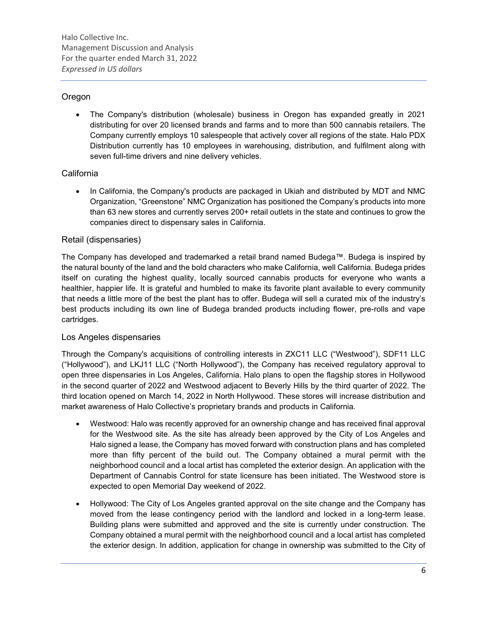## **Oregon**

 The Company's distribution (wholesale) business in Oregon has expanded greatly in 2021 distributing for over 20 licensed brands and farms and to more than 500 cannabis retailers. The Company currently employs 10 salespeople that actively cover all regions of the state. Halo PDX Distribution currently has 10 employees in warehousing, distribution, and fulfilment along with seven full-time drivers and nine delivery vehicles.

## **California**

 In California, the Company's products are packaged in Ukiah and distributed by MDT and NMC Organization, "Greenstone" NMC Organization has positioned the Company's products into more than 63 new stores and currently serves 200+ retail outlets in the state and continues to grow the companies direct to dispensary sales in California.

## Retail (dispensaries)

The Company has developed and trademarked a retail brand named Budega™. Budega is inspired by the natural bounty of the land and the bold characters who make California, well California. Budega prides itself on curating the highest quality, locally sourced cannabis products for everyone who wants a healthier, happier life. It is grateful and humbled to make its favorite plant available to every community that needs a little more of the best the plant has to offer. Budega will sell a curated mix of the industry's best products including its own line of Budega branded products including flower, pre-rolls and vape cartridges.

## Los Angeles dispensaries

Through the Company's acquisitions of controlling interests in ZXC11 LLC ("Westwood"), SDF11 LLC ("Hollywood"), and LKJ11 LLC ("North Hollywood"), the Company has received regulatory approval to open three dispensaries in Los Angeles, California. Halo plans to open the flagship stores in Hollywood in the second quarter of 2022 and Westwood adjacent to Beverly Hills by the third quarter of 2022. The third location opened on March 14, 2022 in North Hollywood. These stores will increase distribution and market awareness of Halo Collective's proprietary brands and products in California.

- Westwood: Halo was recently approved for an ownership change and has received final approval for the Westwood site. As the site has already been approved by the City of Los Angeles and Halo signed a lease, the Company has moved forward with construction plans and has completed more than fifty percent of the build out. The Company obtained a mural permit with the neighborhood council and a local artist has completed the exterior design. An application with the Department of Cannabis Control for state licensure has been initiated. The Westwood store is expected to open Memorial Day weekend of 2022.
- Hollywood: The City of Los Angeles granted approval on the site change and the Company has moved from the lease contingency period with the landlord and locked in a long-term lease. Building plans were submitted and approved and the site is currently under construction. The Company obtained a mural permit with the neighborhood council and a local artist has completed the exterior design. In addition, application for change in ownership was submitted to the City of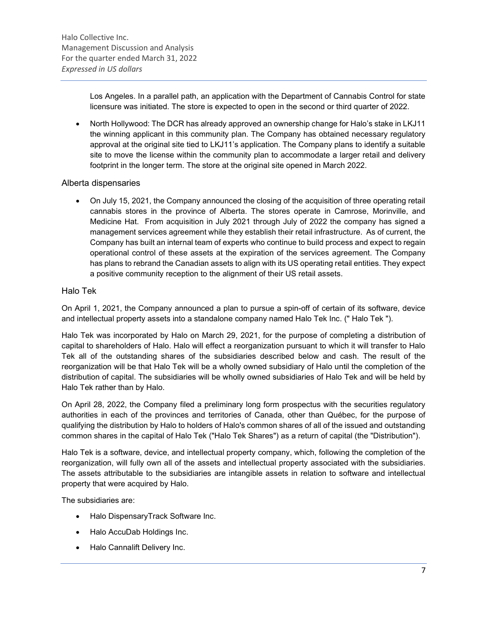Los Angeles. In a parallel path, an application with the Department of Cannabis Control for state licensure was initiated. The store is expected to open in the second or third quarter of 2022.

 North Hollywood: The DCR has already approved an ownership change for Halo's stake in LKJ11 the winning applicant in this community plan. The Company has obtained necessary regulatory approval at the original site tied to LKJ11's application. The Company plans to identify a suitable site to move the license within the community plan to accommodate a larger retail and delivery footprint in the longer term. The store at the original site opened in March 2022.

### Alberta dispensaries

 On July 15, 2021, the Company announced the closing of the acquisition of three operating retail cannabis stores in the province of Alberta. The stores operate in Camrose, Morinville, and Medicine Hat. From acquisition in July 2021 through July of 2022 the company has signed a management services agreement while they establish their retail infrastructure. As of current, the Company has built an internal team of experts who continue to build process and expect to regain operational control of these assets at the expiration of the services agreement. The Company has plans to rebrand the Canadian assets to align with its US operating retail entities. They expect a positive community reception to the alignment of their US retail assets.

## Halo Tek

On April 1, 2021, the Company announced a plan to pursue a spin-off of certain of its software, device and intellectual property assets into a standalone company named Halo Tek Inc. (" Halo Tek ").

Halo Tek was incorporated by Halo on March 29, 2021, for the purpose of completing a distribution of capital to shareholders of Halo. Halo will effect a reorganization pursuant to which it will transfer to Halo Tek all of the outstanding shares of the subsidiaries described below and cash. The result of the reorganization will be that Halo Tek will be a wholly owned subsidiary of Halo until the completion of the distribution of capital. The subsidiaries will be wholly owned subsidiaries of Halo Tek and will be held by Halo Tek rather than by Halo.

On April 28, 2022, the Company filed a preliminary long form prospectus with the securities regulatory authorities in each of the provinces and territories of Canada, other than Québec, for the purpose of qualifying the distribution by Halo to holders of Halo's common shares of all of the issued and outstanding common shares in the capital of Halo Tek ("Halo Tek Shares") as a return of capital (the "Distribution").

Halo Tek is a software, device, and intellectual property company, which, following the completion of the reorganization, will fully own all of the assets and intellectual property associated with the subsidiaries. The assets attributable to the subsidiaries are intangible assets in relation to software and intellectual property that were acquired by Halo.

The subsidiaries are:

- Halo DispensaryTrack Software Inc.
- Halo AccuDab Holdings Inc.
- Halo Cannalift Delivery Inc.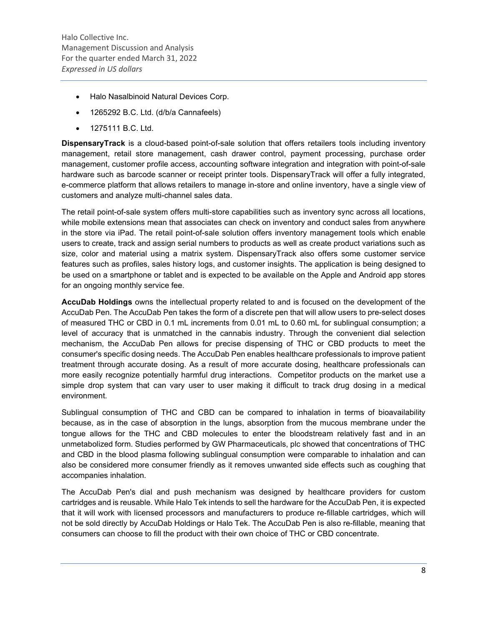- Halo Nasalbinoid Natural Devices Corp.
- 1265292 B.C. Ltd. (d/b/a Cannafeels)
- 1275111 B.C. Ltd.

**DispensaryTrack** is a cloud-based point-of-sale solution that offers retailers tools including inventory management, retail store management, cash drawer control, payment processing, purchase order management, customer profile access, accounting software integration and integration with point-of-sale hardware such as barcode scanner or receipt printer tools. DispensaryTrack will offer a fully integrated, e-commerce platform that allows retailers to manage in-store and online inventory, have a single view of customers and analyze multi-channel sales data.

The retail point-of-sale system offers multi-store capabilities such as inventory sync across all locations, while mobile extensions mean that associates can check on inventory and conduct sales from anywhere in the store via iPad. The retail point-of-sale solution offers inventory management tools which enable users to create, track and assign serial numbers to products as well as create product variations such as size, color and material using a matrix system. DispensaryTrack also offers some customer service features such as profiles, sales history logs, and customer insights. The application is being designed to be used on a smartphone or tablet and is expected to be available on the Apple and Android app stores for an ongoing monthly service fee.

AccuDab Holdings owns the intellectual property related to and is focused on the development of the AccuDab Pen. The AccuDab Pen takes the form of a discrete pen that will allow users to pre-select doses of measured THC or CBD in 0.1 mL increments from 0.01 mL to 0.60 mL for sublingual consumption; a level of accuracy that is unmatched in the cannabis industry. Through the convenient dial selection mechanism, the AccuDab Pen allows for precise dispensing of THC or CBD products to meet the consumer's specific dosing needs. The AccuDab Pen enables healthcare professionals to improve patient treatment through accurate dosing. As a result of more accurate dosing, healthcare professionals can more easily recognize potentially harmful drug interactions. Competitor products on the market use a simple drop system that can vary user to user making it difficult to track drug dosing in a medical environment.

Sublingual consumption of THC and CBD can be compared to inhalation in terms of bioavailability because, as in the case of absorption in the lungs, absorption from the mucous membrane under the tongue allows for the THC and CBD molecules to enter the bloodstream relatively fast and in an unmetabolized form. Studies performed by GW Pharmaceuticals, plc showed that concentrations of THC and CBD in the blood plasma following sublingual consumption were comparable to inhalation and can also be considered more consumer friendly as it removes unwanted side effects such as coughing that accompanies inhalation.

The AccuDab Pen's dial and push mechanism was designed by healthcare providers for custom cartridges and is reusable. While Halo Tek intends to sell the hardware for the AccuDab Pen, it is expected that it will work with licensed processors and manufacturers to produce re-fillable cartridges, which will not be sold directly by AccuDab Holdings or Halo Tek. The AccuDab Pen is also re-fillable, meaning that consumers can choose to fill the product with their own choice of THC or CBD concentrate.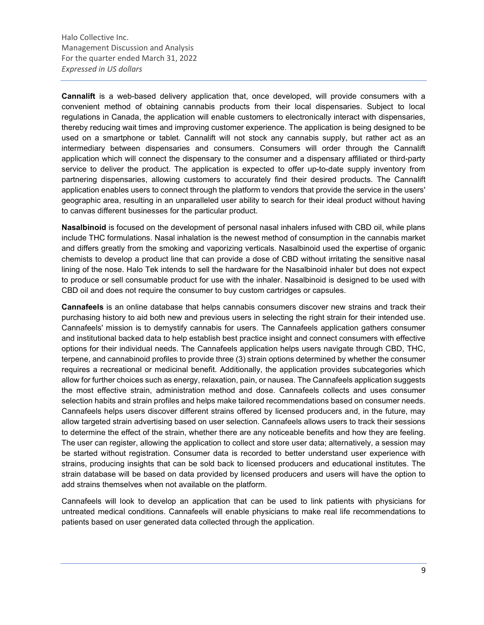Cannalift is a web-based delivery application that, once developed, will provide consumers with a convenient method of obtaining cannabis products from their local dispensaries. Subject to local regulations in Canada, the application will enable customers to electronically interact with dispensaries, thereby reducing wait times and improving customer experience. The application is being designed to be used on a smartphone or tablet. Cannalift will not stock any cannabis supply, but rather act as an intermediary between dispensaries and consumers. Consumers will order through the Cannalift application which will connect the dispensary to the consumer and a dispensary affiliated or third-party service to deliver the product. The application is expected to offer up-to-date supply inventory from partnering dispensaries, allowing customers to accurately find their desired products. The Cannalift application enables users to connect through the platform to vendors that provide the service in the users' geographic area, resulting in an unparalleled user ability to search for their ideal product without having to canvas different businesses for the particular product.

Nasalbinoid is focused on the development of personal nasal inhalers infused with CBD oil, while plans include THC formulations. Nasal inhalation is the newest method of consumption in the cannabis market and differs greatly from the smoking and vaporizing verticals. Nasalbinoid used the expertise of organic chemists to develop a product line that can provide a dose of CBD without irritating the sensitive nasal lining of the nose. Halo Tek intends to sell the hardware for the Nasalbinoid inhaler but does not expect to produce or sell consumable product for use with the inhaler. Nasalbinoid is designed to be used with CBD oil and does not require the consumer to buy custom cartridges or capsules.

Cannafeels is an online database that helps cannabis consumers discover new strains and track their purchasing history to aid both new and previous users in selecting the right strain for their intended use. Cannafeels' mission is to demystify cannabis for users. The Cannafeels application gathers consumer and institutional backed data to help establish best practice insight and connect consumers with effective options for their individual needs. The Cannafeels application helps users navigate through CBD, THC, terpene, and cannabinoid profiles to provide three (3) strain options determined by whether the consumer requires a recreational or medicinal benefit. Additionally, the application provides subcategories which allow for further choices such as energy, relaxation, pain, or nausea. The Cannafeels application suggests the most effective strain, administration method and dose. Cannafeels collects and uses consumer selection habits and strain profiles and helps make tailored recommendations based on consumer needs. Cannafeels helps users discover different strains offered by licensed producers and, in the future, may allow targeted strain advertising based on user selection. Cannafeels allows users to track their sessions to determine the effect of the strain, whether there are any noticeable benefits and how they are feeling. The user can register, allowing the application to collect and store user data; alternatively, a session may be started without registration. Consumer data is recorded to better understand user experience with strains, producing insights that can be sold back to licensed producers and educational institutes. The strain database will be based on data provided by licensed producers and users will have the option to add strains themselves when not available on the platform.

Cannafeels will look to develop an application that can be used to link patients with physicians for untreated medical conditions. Cannafeels will enable physicians to make real life recommendations to patients based on user generated data collected through the application.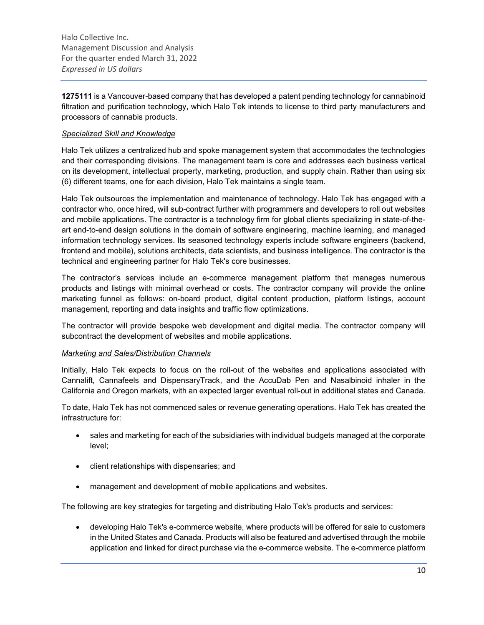1275111 is a Vancouver-based company that has developed a patent pending technology for cannabinoid filtration and purification technology, which Halo Tek intends to license to third party manufacturers and processors of cannabis products.

### Specialized Skill and Knowledge

Halo Tek utilizes a centralized hub and spoke management system that accommodates the technologies and their corresponding divisions. The management team is core and addresses each business vertical on its development, intellectual property, marketing, production, and supply chain. Rather than using six (6) different teams, one for each division, Halo Tek maintains a single team.

Halo Tek outsources the implementation and maintenance of technology. Halo Tek has engaged with a contractor who, once hired, will sub-contract further with programmers and developers to roll out websites and mobile applications. The contractor is a technology firm for global clients specializing in state-of-theart end-to-end design solutions in the domain of software engineering, machine learning, and managed information technology services. Its seasoned technology experts include software engineers (backend, frontend and mobile), solutions architects, data scientists, and business intelligence. The contractor is the technical and engineering partner for Halo Tek's core businesses.

The contractor's services include an e-commerce management platform that manages numerous products and listings with minimal overhead or costs. The contractor company will provide the online marketing funnel as follows: on-board product, digital content production, platform listings, account management, reporting and data insights and traffic flow optimizations.

The contractor will provide bespoke web development and digital media. The contractor company will subcontract the development of websites and mobile applications.

#### Marketing and Sales/Distribution Channels

Initially, Halo Tek expects to focus on the roll-out of the websites and applications associated with Cannalift, Cannafeels and DispensaryTrack, and the AccuDab Pen and Nasalbinoid inhaler in the California and Oregon markets, with an expected larger eventual roll-out in additional states and Canada.

To date, Halo Tek has not commenced sales or revenue generating operations. Halo Tek has created the infrastructure for:

- sales and marketing for each of the subsidiaries with individual budgets managed at the corporate level;
- client relationships with dispensaries; and
- management and development of mobile applications and websites.

The following are key strategies for targeting and distributing Halo Tek's products and services:

 developing Halo Tek's e-commerce website, where products will be offered for sale to customers in the United States and Canada. Products will also be featured and advertised through the mobile application and linked for direct purchase via the e-commerce website. The e-commerce platform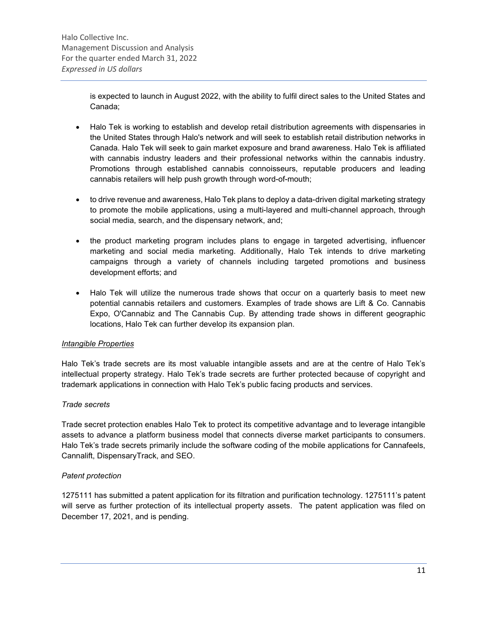is expected to launch in August 2022, with the ability to fulfil direct sales to the United States and Canada;

- Halo Tek is working to establish and develop retail distribution agreements with dispensaries in the United States through Halo's network and will seek to establish retail distribution networks in Canada. Halo Tek will seek to gain market exposure and brand awareness. Halo Tek is affiliated with cannabis industry leaders and their professional networks within the cannabis industry. Promotions through established cannabis connoisseurs, reputable producers and leading cannabis retailers will help push growth through word-of-mouth;
- to drive revenue and awareness, Halo Tek plans to deploy a data-driven digital marketing strategy to promote the mobile applications, using a multi-layered and multi-channel approach, through social media, search, and the dispensary network, and;
- the product marketing program includes plans to engage in targeted advertising, influencer marketing and social media marketing. Additionally, Halo Tek intends to drive marketing campaigns through a variety of channels including targeted promotions and business development efforts; and
- Halo Tek will utilize the numerous trade shows that occur on a quarterly basis to meet new potential cannabis retailers and customers. Examples of trade shows are Lift & Co. Cannabis Expo, O'Cannabiz and The Cannabis Cup. By attending trade shows in different geographic locations, Halo Tek can further develop its expansion plan.

### Intangible Properties

Halo Tek's trade secrets are its most valuable intangible assets and are at the centre of Halo Tek's intellectual property strategy. Halo Tek's trade secrets are further protected because of copyright and trademark applications in connection with Halo Tek's public facing products and services.

### Trade secrets

Trade secret protection enables Halo Tek to protect its competitive advantage and to leverage intangible assets to advance a platform business model that connects diverse market participants to consumers. Halo Tek's trade secrets primarily include the software coding of the mobile applications for Cannafeels, Cannalift, DispensaryTrack, and SEO.

### Patent protection

1275111 has submitted a patent application for its filtration and purification technology. 1275111's patent will serve as further protection of its intellectual property assets. The patent application was filed on December 17, 2021, and is pending.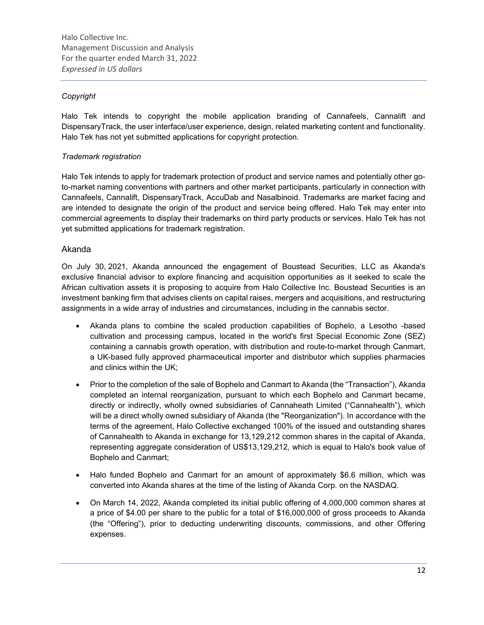## Copyright

Halo Tek intends to copyright the mobile application branding of Cannafeels, Cannalift and DispensaryTrack, the user interface/user experience, design, related marketing content and functionality. Halo Tek has not yet submitted applications for copyright protection.

### Trademark registration

Halo Tek intends to apply for trademark protection of product and service names and potentially other goto-market naming conventions with partners and other market participants, particularly in connection with Cannafeels, Cannalift, DispensaryTrack, AccuDab and Nasalbinoid. Trademarks are market facing and are intended to designate the origin of the product and service being offered. Halo Tek may enter into commercial agreements to display their trademarks on third party products or services. Halo Tek has not yet submitted applications for trademark registration.

#### Akanda

On July 30, 2021, Akanda announced the engagement of Boustead Securities, LLC as Akanda's exclusive financial advisor to explore financing and acquisition opportunities as it seeked to scale the African cultivation assets it is proposing to acquire from Halo Collective Inc. Boustead Securities is an investment banking firm that advises clients on capital raises, mergers and acquisitions, and restructuring assignments in a wide array of industries and circumstances, including in the cannabis sector.

- Akanda plans to combine the scaled production capabilities of Bophelo, a Lesotho -based cultivation and processing campus, located in the world's first Special Economic Zone (SEZ) containing a cannabis growth operation, with distribution and route-to-market through Canmart, a UK-based fully approved pharmaceutical importer and distributor which supplies pharmacies and clinics within the UK;
- Prior to the completion of the sale of Bophelo and Canmart to Akanda (the "Transaction"), Akanda completed an internal reorganization, pursuant to which each Bophelo and Canmart became, directly or indirectly, wholly owned subsidiaries of Cannaheath Limited ("Cannahealth"), which will be a direct wholly owned subsidiary of Akanda (the "Reorganization"). In accordance with the terms of the agreement, Halo Collective exchanged 100% of the issued and outstanding shares of Cannahealth to Akanda in exchange for 13,129,212 common shares in the capital of Akanda, representing aggregate consideration of US\$13,129,212, which is equal to Halo's book value of Bophelo and Canmart;
- Halo funded Bophelo and Canmart for an amount of approximately \$6.6 million, which was converted into Akanda shares at the time of the listing of Akanda Corp. on the NASDAQ.
- On March 14, 2022, Akanda completed its initial public offering of 4,000,000 common shares at a price of \$4.00 per share to the public for a total of \$16,000,000 of gross proceeds to Akanda (the "Offering"), prior to deducting underwriting discounts, commissions, and other Offering expenses.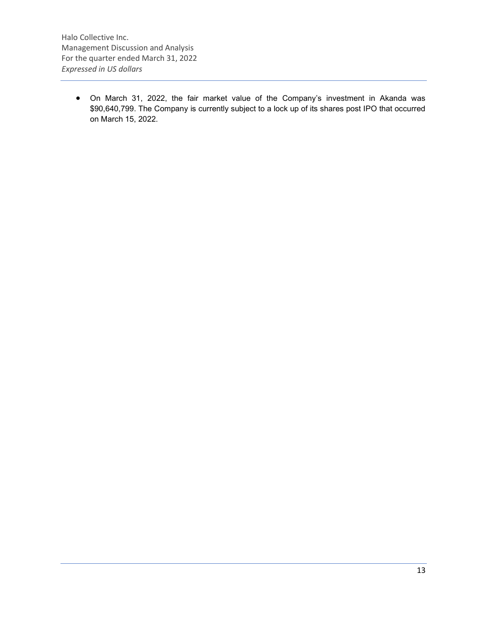On March 31, 2022, the fair market value of the Company's investment in Akanda was \$90,640,799. The Company is currently subject to a lock up of its shares post IPO that occurred on March 15, 2022.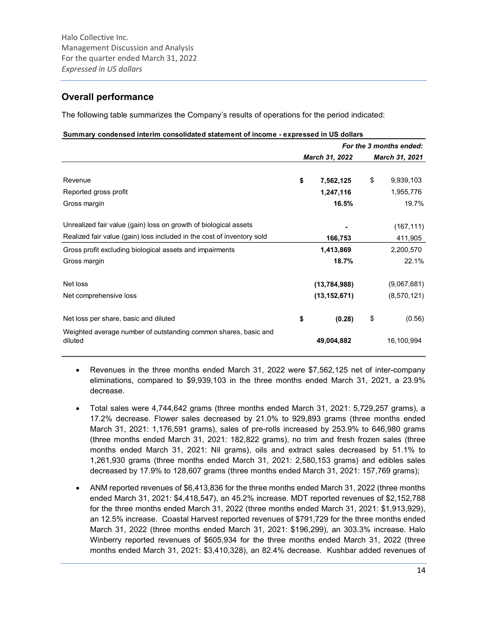## Overall performance

The following table summarizes the Company's results of operations for the period indicated:

#### Summary condensed interim consolidated statement of income - expressed in US dollars

|                                                                            |                 | For the 3 months ended: |
|----------------------------------------------------------------------------|-----------------|-------------------------|
|                                                                            | March 31, 2022  | March 31, 2021          |
|                                                                            |                 |                         |
| Revenue                                                                    | \$<br>7,562,125 | \$<br>9,939,103         |
| Reported gross profit                                                      | 1,247,116       | 1,955,776               |
| Gross margin                                                               | 16.5%           | 19.7%                   |
| Unrealized fair value (gain) loss on growth of biological assets           |                 | (167, 111)              |
| Realized fair value (gain) loss included in the cost of inventory sold     | 166,753         | 411,905                 |
| Gross profit excluding biological assets and impairments                   | 1,413,869       | 2,200,570               |
| Gross margin                                                               | 18.7%           | 22.1%                   |
| Net loss                                                                   | (13,784,988)    | (9,067,681)             |
| Net comprehensive loss                                                     | (13, 152, 671)  | (8,570,121)             |
| Net loss per share, basic and diluted                                      | \$<br>(0.28)    | \$<br>(0.56)            |
| Weighted average number of outstanding common shares, basic and<br>diluted | 49,004,882      | 16,100,994              |

- Revenues in the three months ended March 31, 2022 were \$7,562,125 net of inter-company eliminations, compared to \$9,939,103 in the three months ended March 31, 2021, a 23.9% decrease.
- Total sales were 4,744,642 grams (three months ended March 31, 2021: 5,729,257 grams), a 17.2% decrease. Flower sales decreased by 21.0% to 929,893 grams (three months ended March 31, 2021: 1,176,591 grams), sales of pre-rolls increased by 253.9% to 646,980 grams (three months ended March 31, 2021: 182,822 grams), no trim and fresh frozen sales (three months ended March 31, 2021: Nil grams), oils and extract sales decreased by 51.1% to 1,261,930 grams (three months ended March 31, 2021: 2,580,153 grams) and edibles sales decreased by 17.9% to 128,607 grams (three months ended March 31, 2021: 157,769 grams);
- ANM reported revenues of \$6,413,836 for the three months ended March 31, 2022 (three months ended March 31, 2021: \$4,418,547), an 45.2% increase. MDT reported revenues of \$2,152,788 for the three months ended March 31, 2022 (three months ended March 31, 2021: \$1,913,929), an 12.5% increase. Coastal Harvest reported revenues of \$791,729 for the three months ended March 31, 2022 (three months ended March 31, 2021: \$196,299), an 303.3% increase. Halo Winberry reported revenues of \$605,934 for the three months ended March 31, 2022 (three months ended March 31, 2021: \$3,410,328), an 82.4% decrease. Kushbar added revenues of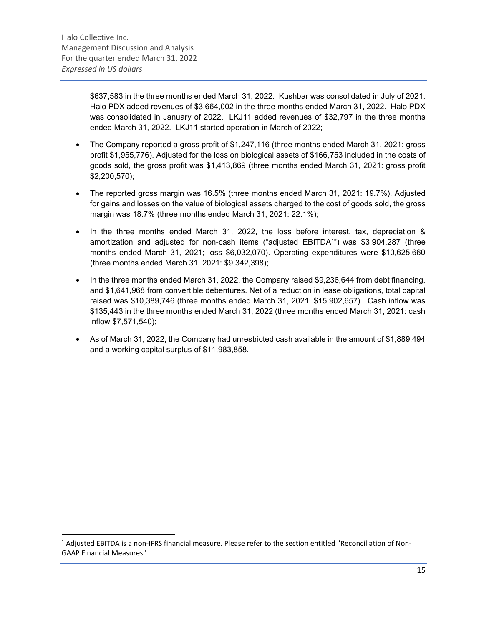\$637,583 in the three months ended March 31, 2022. Kushbar was consolidated in July of 2021. Halo PDX added revenues of \$3,664,002 in the three months ended March 31, 2022. Halo PDX was consolidated in January of 2022. LKJ11 added revenues of \$32,797 in the three months ended March 31, 2022. LKJ11 started operation in March of 2022;

- The Company reported a gross profit of \$1,247,116 (three months ended March 31, 2021: gross profit \$1,955,776). Adjusted for the loss on biological assets of \$166,753 included in the costs of goods sold, the gross profit was \$1,413,869 (three months ended March 31, 2021: gross profit \$2,200,570);
- The reported gross margin was 16.5% (three months ended March 31, 2021: 19.7%). Adjusted for gains and losses on the value of biological assets charged to the cost of goods sold, the gross margin was 18.7% (three months ended March 31, 2021: 22.1%);
- In the three months ended March 31, 2022, the loss before interest, tax, depreciation & amortization and adjusted for non-cash items ("adjusted EBITDA<sup>1</sup> ") was \$3,904,287 (three months ended March 31, 2021; loss \$6,032,070). Operating expenditures were \$10,625,660 (three months ended March 31, 2021: \$9,342,398);
- $\bullet$  In the three months ended March 31, 2022, the Company raised \$9,236,644 from debt financing, and \$1,641,968 from convertible debentures. Net of a reduction in lease obligations, total capital raised was \$10,389,746 (three months ended March 31, 2021: \$15,902,657). Cash inflow was \$135,443 in the three months ended March 31, 2022 (three months ended March 31, 2021: cash inflow \$7,571,540);
- As of March 31, 2022, the Company had unrestricted cash available in the amount of \$1,889,494 and a working capital surplus of \$11,983,858.

<sup>&</sup>lt;sup>1</sup> Adjusted EBITDA is a non-IFRS financial measure. Please refer to the section entitled "Reconciliation of Non-GAAP Financial Measures".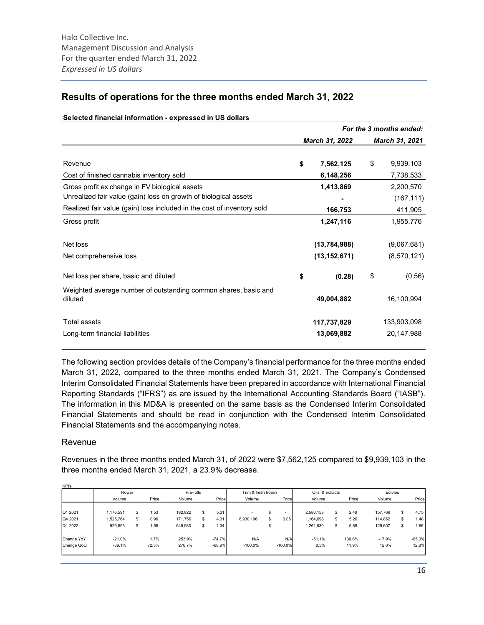## Results of operations for the three months ended March 31, 2022

|                                                                            |                 | For the 3 months ended: |
|----------------------------------------------------------------------------|-----------------|-------------------------|
|                                                                            | March 31, 2022  | March 31, 2021          |
|                                                                            |                 |                         |
| Revenue                                                                    | \$<br>7,562,125 | \$<br>9,939,103         |
| Cost of finished cannabis inventory sold                                   | 6,148,256       | 7,738,533               |
| Gross profit ex change in FV biological assets                             | 1,413,869       | 2,200,570               |
| Unrealized fair value (gain) loss on growth of biological assets           |                 | (167, 111)              |
| Realized fair value (gain) loss included in the cost of inventory sold     | 166,753         | 411,905                 |
| Gross profit                                                               | 1,247,116       | 1,955,776               |
| Net loss                                                                   | (13, 784, 988)  | (9,067,681)             |
| Net comprehensive loss                                                     | (13, 152, 671)  | (8,570,121)             |
| Net loss per share, basic and diluted                                      | \$<br>(0.28)    | \$<br>(0.56)            |
| Weighted average number of outstanding common shares, basic and<br>diluted | 49,004,882      | 16,100,994              |
| <b>Total assets</b>                                                        | 117,737,829     | 133,903,098             |
| Long-term financial liabilities                                            | 13,069,882      | 20,147,988              |

#### Selected financial information - expressed in US dollars

The following section provides details of the Company's financial performance for the three months ended March 31, 2022, compared to the three months ended March 31, 2021. The Company's Condensed Interim Consolidated Financial Statements have been prepared in accordance with International Financial Reporting Standards ("IFRS") as are issued by the International Accounting Standards Board ("IASB"). The information in this MD&A is presented on the same basis as the Condensed Interim Consolidated Financial Statements and should be read in conjunction with the Condensed Interim Consolidated Financial Statements and the accompanying notes.

### Revenue

KPI's

Revenues in the three months ended March 31, of 2022 were \$7,562,125 compared to \$9,939,103 in the three months ended March 31, 2021, a 23.9% decrease.

|            | Flower    |            | Pre-rolls |    |          | Trim & fresh frozen      |     | Oils & extracts          |           |    | Edibles |          |    |          |
|------------|-----------|------------|-----------|----|----------|--------------------------|-----|--------------------------|-----------|----|---------|----------|----|----------|
|            | Volume    | Price      | Volume    |    | Price    | Volume                   |     | Price                    | Volume    |    | Price   | Volume   |    | Price    |
|            |           |            |           |    |          |                          |     |                          |           |    |         |          |    |          |
| Q1 2021    | 1,176,591 | \$<br>1.53 | 182,822   | \$ | 5.31     | $\overline{\phantom{a}}$ |     | -                        | 2,580,153 | S  | 2.49    | 157.769  | \$ | 4.75     |
| Q4 2021    | 1,525,764 | \$<br>0.90 | 171,756   | £. | 4.31     | 6,930,106                | \$. | 0.05                     | 1,164,698 | S  | 5.26    | 114.852  | \$ | 1.48     |
| Q1 2022    | 929,893   | \$<br>1.56 | 646,980   | ъ  | 1.34     |                          |     | $\overline{\phantom{a}}$ | 1,261,930 | \$ | 5.88    | 129,607  | \$ | 1.66     |
| Change YoY | $-21.0%$  | 1.7%       | 253.9%    |    | $-74.7%$ | N/A                      |     | N/A                      | $-51.1%$  |    | 136.6%  | $-17.9%$ |    | $-65.0%$ |
| Change QoQ | $-39.1%$  | 72.3%      | 276.7%    |    | $-68.9%$ | $-100.0%$                |     | $-100.0%$                | 8.3%      |    | 11.9%   | 12.8%    |    | 12.8%    |
|            |           |            |           |    |          |                          |     |                          |           |    |         |          |    |          |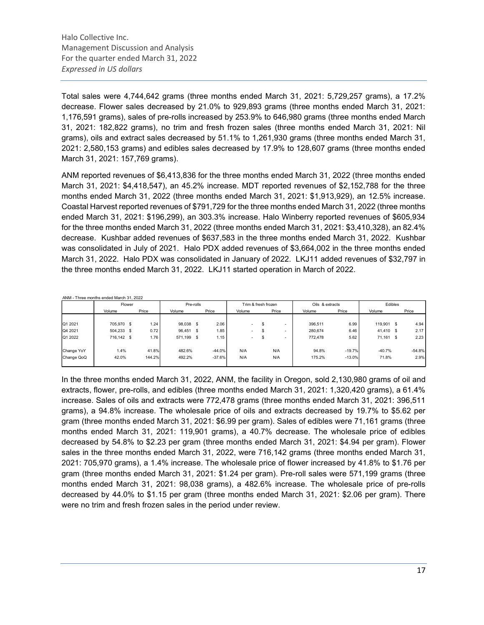Total sales were 4,744,642 grams (three months ended March 31, 2021: 5,729,257 grams), a 17.2% decrease. Flower sales decreased by 21.0% to 929,893 grams (three months ended March 31, 2021: 1,176,591 grams), sales of pre-rolls increased by 253.9% to 646,980 grams (three months ended March 31, 2021: 182,822 grams), no trim and fresh frozen sales (three months ended March 31, 2021: Nil grams), oils and extract sales decreased by 51.1% to 1,261,930 grams (three months ended March 31, 2021: 2,580,153 grams) and edibles sales decreased by 17.9% to 128,607 grams (three months ended March 31, 2021: 157,769 grams).

ANM reported revenues of \$6,413,836 for the three months ended March 31, 2022 (three months ended March 31, 2021: \$4,418,547), an 45.2% increase. MDT reported revenues of \$2,152,788 for the three months ended March 31, 2022 (three months ended March 31, 2021: \$1,913,929), an 12.5% increase. Coastal Harvest reported revenues of \$791,729 for the three months ended March 31, 2022 (three months ended March 31, 2021: \$196,299), an 303.3% increase. Halo Winberry reported revenues of \$605,934 for the three months ended March 31, 2022 (three months ended March 31, 2021: \$3,410,328), an 82.4% decrease. Kushbar added revenues of \$637,583 in the three months ended March 31, 2022. Kushbar was consolidated in July of 2021. Halo PDX added revenues of \$3,664,002 in the three months ended March 31, 2022. Halo PDX was consolidated in January of 2022. LKJ11 added revenues of \$32,797 in the three months ended March 31, 2022. LKJ11 started operation in March of 2022.

ANM - Three months ended March 31, 2022

|            | Flower     |        | Pre-rolls  |          |                          | Trim & fresh frozen | Oils & extracts |          | Edibles   |              |
|------------|------------|--------|------------|----------|--------------------------|---------------------|-----------------|----------|-----------|--------------|
|            | Volume     | Price  | Volume     | Price    | Volume                   | Price               | Volume          | Price    | Volume    | Price        |
|            |            |        |            |          |                          |                     |                 |          |           |              |
| Q1 2021    | 705.970 \$ | 1.24   | 98,038 \$  | 2.06     | $\sim$                   |                     | 396.511         | 6.99     | 119.901   | 4.94<br>- \$ |
| Q4 2021    | 504,233 \$ | 0.72   | 96,451 \$  | 1.85     | $\overline{\phantom{a}}$ | ъ.                  | 280.674         | 6.46     | 41,410 \$ | 2.17         |
| Q1 2022    | 716,142 \$ | 1.76   | 571,199 \$ | 1.15     | $\sim$                   | ъ<br>-              | 772.478         | 5.62     | 71,161    | 2.23<br>- \$ |
|            |            |        |            |          |                          |                     |                 |          |           |              |
| Change YoY | 1.4%       | 41.8%  | 482.6%     | $-44.0%$ | N/A                      | N/A                 | 94.8%           | $-19.7%$ | $-40.7%$  | $-54.8%$     |
| Change QoQ | 42.0%      | 144.2% | 492.2%     | $-37.6%$ | N/A                      | N/A                 | 175.2%          | $-13.0%$ | 71.8%     | 2.9%         |
|            |            |        |            |          |                          |                     |                 |          |           |              |

In the three months ended March 31, 2022, ANM, the facility in Oregon, sold 2,130,980 grams of oil and extracts, flower, pre-rolls, and edibles (three months ended March 31, 2021: 1,320,420 grams), a 61.4% increase. Sales of oils and extracts were 772,478 grams (three months ended March 31, 2021: 396,511 grams), a 94.8% increase. The wholesale price of oils and extracts decreased by 19.7% to \$5.62 per gram (three months ended March 31, 2021: \$6.99 per gram). Sales of edibles were 71,161 grams (three months ended March 31, 2021: 119,901 grams), a 40.7% decrease. The wholesale price of edibles decreased by 54.8% to \$2.23 per gram (three months ended March 31, 2021: \$4.94 per gram). Flower sales in the three months ended March 31, 2022, were 716,142 grams (three months ended March 31, 2021: 705,970 grams), a 1.4% increase. The wholesale price of flower increased by 41.8% to \$1.76 per gram (three months ended March 31, 2021: \$1.24 per gram). Pre-roll sales were 571,199 grams (three months ended March 31, 2021: 98,038 grams), a 482.6% increase. The wholesale price of pre-rolls decreased by 44.0% to \$1.15 per gram (three months ended March 31, 2021: \$2.06 per gram). There were no trim and fresh frozen sales in the period under review.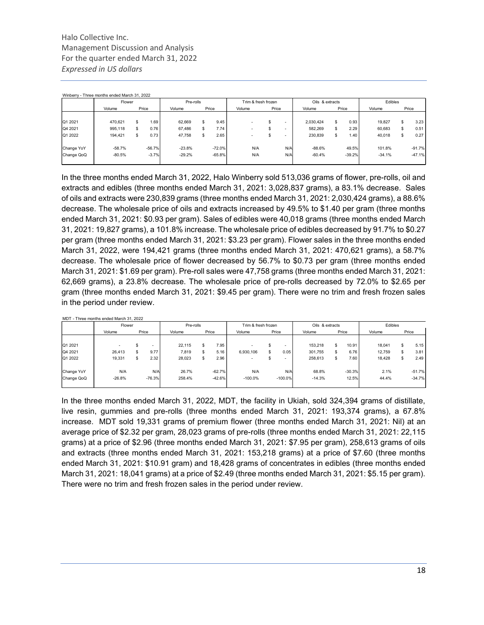|            | Flower   |       |          | Pre-rolls       |    |          | Trim & fresh frozen      |       |                          | Oils & extracts |    |          | Edibles  |     |          |
|------------|----------|-------|----------|-----------------|----|----------|--------------------------|-------|--------------------------|-----------------|----|----------|----------|-----|----------|
|            | Volume   | Price |          | Volume<br>Price |    |          | Volume                   | Price |                          | Volume          |    | Price    | Volume   |     | Price    |
|            |          |       |          |                 |    |          |                          |       |                          |                 |    |          |          |     |          |
| Q1 2021    | 470.621  | S     | 1.69     | 62.669          | \$ | 9.45     |                          | \$    | -                        | 2.030.424       | \$ | 0.93     | 19.827   | \$  | 3.23     |
| Q4 2021    | 995,118  | \$.   | 0.76     | 67,486          | \$ | 7.74     | $\overline{\phantom{a}}$ | \$    | ۰                        | 582,269         | s  | 2.29     | 60,683   | \$. | 0.51     |
| Q1 2022    | 194,421  | \$    | 0.73     | 47,758          | \$ | 2.65     | $\overline{\phantom{a}}$ | S     | $\overline{\phantom{a}}$ | 230,839         | \$ | 1.40     | 40,018   | \$. | 0.27     |
| Change YoY | $-58.7%$ |       | $-56.7%$ | $-23.8%$        |    | $-72.0%$ | N/A                      |       | N/A                      | $-88.6%$        |    | 49.5%    | 101.8%   |     | $-91.7%$ |
| Change QoQ | $-80.5%$ |       | $-3.7%$  | $-29.2%$        |    | $-65.8%$ | N/A                      |       | N/A                      | $-60.4%$        |    | $-39.2%$ | $-34.1%$ |     | $-47.1%$ |

In the three months ended March 31, 2022, Halo Winberry sold 513,036 grams of flower, pre-rolls, oil and extracts and edibles (three months ended March 31, 2021: 3,028,837 grams), a 83.1% decrease. Sales of oils and extracts were 230,839 grams (three months ended March 31, 2021: 2,030,424 grams), a 88.6% decrease. The wholesale price of oils and extracts increased by 49.5% to \$1.40 per gram (three months ended March 31, 2021: \$0.93 per gram). Sales of edibles were 40,018 grams (three months ended March 31, 2021: 19,827 grams), a 101.8% increase. The wholesale price of edibles decreased by 91.7% to \$0.27 per gram (three months ended March 31, 2021: \$3.23 per gram). Flower sales in the three months ended March 31, 2022, were 194,421 grams (three months ended March 31, 2021: 470,621 grams), a 58.7% decrease. The wholesale price of flower decreased by 56.7% to \$0.73 per gram (three months ended March 31, 2021: \$1.69 per gram). Pre-roll sales were 47,758 grams (three months ended March 31, 2021: 62,669 grams), a 23.8% decrease. The wholesale price of pre-rolls decreased by 72.0% to \$2.65 per gram (three months ended March 31, 2021: \$9.45 per gram). There were no trim and fresh frozen sales in the period under review.

|            | MDT - Three months ended March 31, 2022 |                          |           |    |          |                     |    |            |                 |   |          |         |     |          |
|------------|-----------------------------------------|--------------------------|-----------|----|----------|---------------------|----|------------|-----------------|---|----------|---------|-----|----------|
|            | Flower                                  |                          | Pre-rolls |    |          | Trim & fresh frozen |    |            | Oils & extracts |   |          | Edibles |     |          |
|            | Volume                                  | Price                    | Volume    |    | Price    | Volume              |    | Price      | Volume          |   | Price    | Volume  |     | Price    |
|            |                                         |                          |           |    |          |                     |    |            |                 |   |          |         |     |          |
| Q1 2021    |                                         | $\overline{\phantom{a}}$ | 22,115    | \$ | 7.95     |                     | S  | -          | 153,218         | S | 10.91    | 18,041  | \$. | 5.15     |
| Q4 2021    | 26,413                                  | 9.77                     | 7,819     | \$ | 5.16     | 6,930,106           | S  | 0.05       | 301,755         | S | 6.76     | 12,759  | \$. | 3.81     |
| Q1 2022    | 19,331                                  | 2.32                     | 28,023    | S. | 2.96     |                     | \$ | -          | 258,613         | S | 7.60     | 18.428  | \$. | 2.49     |
| Change YoY | N/A                                     | N/A                      | 26.7%     |    | $-62.7%$ | N/A                 |    | N/A        | 68.8%           |   | $-30.3%$ | 2.1%    |     | $-51.7%$ |
| Change QoQ | $-26.8%$                                | $-76.3%$                 | 258.4%    |    | $-42.6%$ | $-100.0\%$          |    | $-100.0\%$ | $-14.3%$        |   | 12.5%    | 44.4%   |     | $-34.7%$ |
|            |                                         |                          |           |    |          |                     |    |            |                 |   |          |         |     |          |

In the three months ended March 31, 2022, MDT, the facility in Ukiah, sold 324,394 grams of distillate, live resin, gummies and pre-rolls (three months ended March 31, 2021: 193,374 grams), a 67.8% increase. MDT sold 19,331 grams of premium flower (three months ended March 31, 2021: Nil) at an average price of \$2.32 per gram, 28,023 grams of pre-rolls (three months ended March 31, 2021: 22,115 grams) at a price of \$2.96 (three months ended March 31, 2021: \$7.95 per gram), 258,613 grams of oils and extracts (three months ended March 31, 2021: 153,218 grams) at a price of \$7.60 (three months ended March 31, 2021: \$10.91 gram) and 18,428 grams of concentrates in edibles (three months ended March 31, 2021: 18,041 grams) at a price of \$2.49 (three months ended March 31, 2021: \$5.15 per gram). There were no trim and fresh frozen sales in the period under review.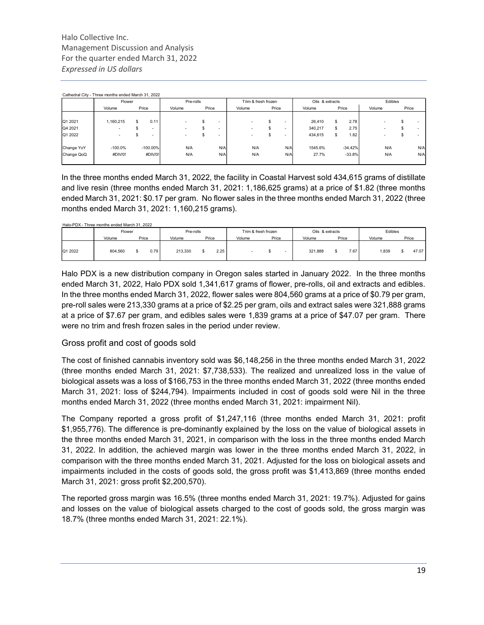|            | Cathedral City - Three months ended March 31, 2022 |       |                          |                          |       |                          |                     |       |                          |                 |    |           |        |         |   |       |
|------------|----------------------------------------------------|-------|--------------------------|--------------------------|-------|--------------------------|---------------------|-------|--------------------------|-----------------|----|-----------|--------|---------|---|-------|
|            | Flower                                             |       |                          | Pre-rolls                |       |                          | Trim & fresh frozen |       |                          | Oils & extracts |    |           |        | Edibles |   |       |
|            | Volume                                             | Price |                          | Volume                   | Price |                          | Volume              | Price |                          | Volume          |    | Price     | Volume |         |   | Price |
|            |                                                    |       |                          |                          |       |                          |                     |       |                          |                 |    |           |        |         |   |       |
| Q1 2021    | 1,160,215                                          | \$.   | 0.11                     |                          |       | $\overline{\phantom{a}}$ |                     | s     | -                        | 26,410          | S  | 2.78      | ۰      |         |   |       |
| Q4 2021    |                                                    |       | $\overline{\phantom{a}}$ | $\overline{\phantom{a}}$ |       | $\overline{\phantom{a}}$ |                     | s     | -                        | 340,217         | s. | 2.75      | -      |         |   |       |
| Q1 2022    |                                                    |       | $\overline{\phantom{a}}$ | $\overline{a}$           | æ     | $\overline{\phantom{a}}$ |                     | s     | $\overline{\phantom{a}}$ | 434,615         | S  | 1.82      | ۰      |         | ъ |       |
| Change YoY | $-100.0%$                                          |       | $-100.00\%$              | N/A                      |       | N/A                      | N/A                 |       | N/A                      | 1545.6%         |    | $-34.42%$ |        | N/A     |   | N/A   |
| Change QoQ | #DIV/0!                                            |       | #DIV/0!                  | N/A                      |       | N/A                      | N/A                 |       | N/A                      | 27.7%           |    | $-33.8%$  |        | N/A     |   | N/A   |
|            |                                                    |       |                          |                          |       |                          |                     |       |                          |                 |    |           |        |         |   |       |

In the three months ended March 31, 2022, the facility in Coastal Harvest sold 434,615 grams of distillate and live resin (three months ended March 31, 2021: 1,186,625 grams) at a price of \$1.82 (three months ended March 31, 2021: \$0.17 per gram. No flower sales in the three months ended March 31, 2022 (three months ended March 31, 2021: 1,160,215 grams).

|         | Halo-PDX - Three months ended March 31, 2022 |       |           |       |        |                     |                 |       |         |       |
|---------|----------------------------------------------|-------|-----------|-------|--------|---------------------|-----------------|-------|---------|-------|
|         | Flower                                       |       | Pre-rolls |       |        | Trim & fresh frozen | Oils & extracts |       | Edibles |       |
|         | Volume                                       | Price | Volume    | Price | Volume | Price               | Volume          | Price | Volume  | Price |
| Q1 2022 | 804.560                                      | 0.79  | 213.330   | 2.25  |        |                     | 321.888         | 7.67  | .839    | 47.07 |

Halo PDX is a new distribution company in Oregon sales started in January 2022. In the three months ended March 31, 2022, Halo PDX sold 1,341,617 grams of flower, pre-rolls, oil and extracts and edibles. In the three months ended March 31, 2022, flower sales were 804,560 grams at a price of \$0.79 per gram, pre-roll sales were 213,330 grams at a price of \$2.25 per gram, oils and extract sales were 321,888 grams at a price of \$7.67 per gram, and edibles sales were 1,839 grams at a price of \$47.07 per gram. There were no trim and fresh frozen sales in the period under review.

### Gross profit and cost of goods sold

The cost of finished cannabis inventory sold was \$6,148,256 in the three months ended March 31, 2022 (three months ended March 31, 2021: \$7,738,533). The realized and unrealized loss in the value of biological assets was a loss of \$166,753 in the three months ended March 31, 2022 (three months ended March 31, 2021: loss of \$244,794). Impairments included in cost of goods sold were Nil in the three months ended March 31, 2022 (three months ended March 31, 2021: impairment Nil).

The Company reported a gross profit of \$1,247,116 (three months ended March 31, 2021: profit \$1,955,776). The difference is pre-dominantly explained by the loss on the value of biological assets in the three months ended March 31, 2021, in comparison with the loss in the three months ended March 31, 2022. In addition, the achieved margin was lower in the three months ended March 31, 2022, in comparison with the three months ended March 31, 2021. Adjusted for the loss on biological assets and impairments included in the costs of goods sold, the gross profit was \$1,413,869 (three months ended March 31, 2021: gross profit \$2,200,570).

The reported gross margin was 16.5% (three months ended March 31, 2021: 19.7%). Adjusted for gains and losses on the value of biological assets charged to the cost of goods sold, the gross margin was 18.7% (three months ended March 31, 2021: 22.1%).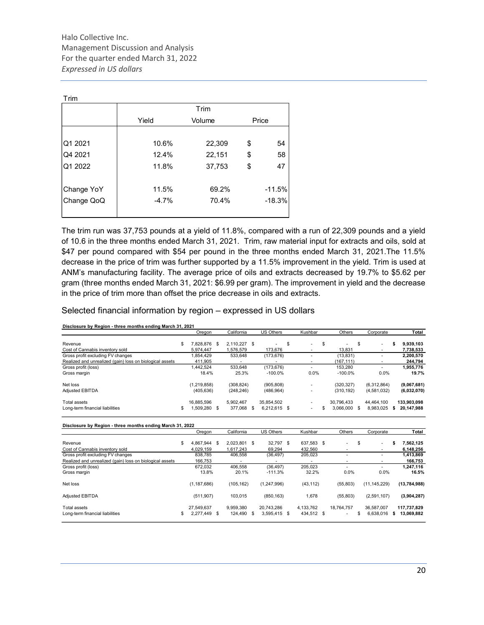| Trim       |         |        |          |
|------------|---------|--------|----------|
|            |         | Trim   |          |
|            | Yield   | Volume | Price    |
|            |         |        |          |
| Q1 2021    | 10.6%   | 22,309 | \$<br>54 |
| Q4 2021    | 12.4%   | 22,151 | \$<br>58 |
| Q1 2022    | 11.8%   | 37,753 | \$<br>47 |
|            |         |        |          |
| Change YoY | 11.5%   | 69.2%  | $-11.5%$ |
| Change QoQ | $-4.7%$ | 70.4%  | $-18.3%$ |
|            |         |        |          |

The trim run was 37,753 pounds at a yield of 11.8%, compared with a run of 22,309 pounds and a yield of 10.6 in the three months ended March 31, 2021. Trim, raw material input for extracts and oils, sold at \$47 per pound compared with \$54 per pound in the three months ended March 31, 2021.The 11.5% decrease in the price of trim was further supported by a 11.5% improvement in the yield. Trim is used at ANM's manufacturing facility. The average price of oils and extracts decreased by 19.7% to \$5.62 per gram (three months ended March 31, 2021: \$6.99 per gram). The improvement in yield and the decrease in the price of trim more than offset the price decrease in oils and extracts.

#### Selected financial information by region – expressed in US dollars

|                                                           | Oregon             | California    | US Others                | Kushbar    | Others          | Corporate       | Total            |
|-----------------------------------------------------------|--------------------|---------------|--------------------------|------------|-----------------|-----------------|------------------|
| Revenue                                                   | \$<br>7.828.876 \$ | 2.110.227 \$  |                          | \$         | \$              | \$              | \$<br>9,939,103  |
| Cost of Cannabis inventory sold                           | 5,974,447          | 1,576,579     | 173,676                  |            | 13,831          |                 | 7,738,533        |
| Gross profit excluding FV changes                         | 1,854,429          | 533,648       | (173, 676)               | ٠          | (13, 831)       |                 | 2,200,570        |
| Realized and unrealized (gain) loss on biological assets  | 411,905            |               | $\overline{\phantom{a}}$ | ٠          | (167, 111)      |                 | 244,794          |
| Gross profit (loss)                                       | 1,442,524          | 533,648       | (173, 676)               | ÷.         | 153,280         | $\sim$          | 1,955,776        |
| Gross margin                                              | 18.4%              | 25.3%         | $-100.0%$                | 0.0%       | $-100.0%$       | 0.0%            | 19.7%            |
| Net loss                                                  | (1,219,858)        | (308, 824)    | (905, 808)               |            | (320, 327)      | (6,312,864)     | (9,067,681)      |
| Adjusted EBITDA                                           | (405, 636)         | (248, 246)    | (486, 964)               |            | (310, 192)      | (4,581,032)     | (6,032,070)      |
| Total assets                                              | 16,885,596         | 5,902,467     | 35,854,502               |            | 30,796,433      | 44,464,100      | 133,903,098      |
| Long-term financial liabilities                           | \$<br>1,509,280 \$ | 377.068 \$    | 6,212,615 \$             | ٠          | \$<br>3,066,000 | \$<br>8,983,025 | \$<br>20,147,988 |
|                                                           |                    |               |                          |            |                 |                 |                  |
| Disclosure by Region - three months ending March 31, 2022 | Oregon             | California    | <b>US Others</b>         | Kushbar    | Others          | Corporate       | Total            |
| Revenue                                                   | \$<br>4.867.944 \$ | 2.023.801 \$  | 32.797 \$                | 637,583 \$ |                 | \$              | \$<br>7,562,125  |
| Cost of Cannabis inventory sold                           | 4,029,159          | 1.617.243     | 69,294                   | 432,560    |                 |                 | 6,148,256        |
| Gross profit excluding FV changes                         | 838,785            | 406,558       | (36, 497)                | 205,023    |                 | ٠               | 1,413,869        |
| Realized and unrealized (gain) loss on biological assets  | 166,753            |               |                          |            |                 |                 | 166,753          |
| Gross profit (loss)                                       | 672,032            | 406,558       | (36, 497)                | 205,023    |                 |                 | 1,247,116        |
| Gross margin                                              | 13.8%              | 20.1%         | $-111.3%$                | 32.2%      | 0.0%            | 0.0%            | 16.5%            |
| Net loss                                                  | (1, 187, 686)      | (105, 162)    | (1,247,996)              | (43, 112)  | (55,803)        | (11, 145, 229)  | (13,784,988)     |
| Adjusted EBITDA                                           | (511, 907)         | 103,015       | (850, 163)               | 1,678      | (55,803)        | (2,591,107)     | (3,904,287)      |
| Total assets                                              | 27,549,637         | 9.959.380     | 20,743,286               | 4,133,762  | 18,764,757      | 36,587,007      | 117,737,829      |
| Long-term financial liabilities                           | \$<br>2.277.449    | \$<br>124.490 | \$<br>3,595,415 \$       | 434,512 \$ |                 | \$<br>6,638,016 | \$<br>13,069,882 |

Disclosure by Region - three months ending March 31, 2021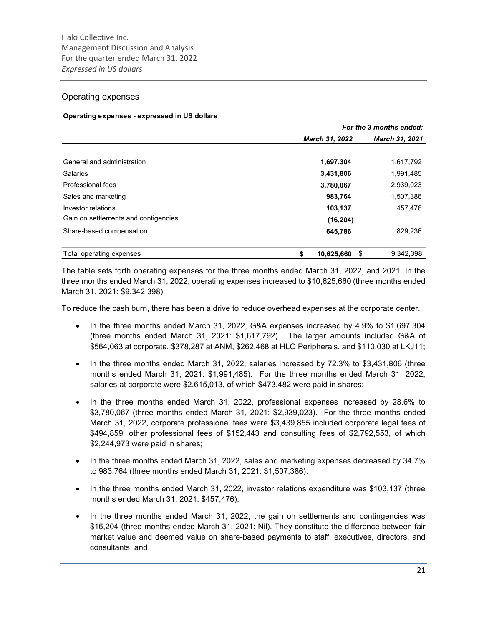#### Operating expenses

#### Operating expenses - expressed in US dollars

|                                      |                       | For the 3 months ended: |
|--------------------------------------|-----------------------|-------------------------|
|                                      | <b>March 31, 2022</b> | <b>March 31, 2021</b>   |
|                                      |                       |                         |
| General and administration           | 1,697,304             | 1,617,792               |
| <b>Salaries</b>                      | 3,431,806             | 1,991,485               |
| Professional fees                    | 3,780,067             | 2,939,023               |
| Sales and marketing                  | 983,764               | 1,507,386               |
| Investor relations                   | 103,137               | 457,476                 |
| Gain on settlements and contigencies | (16, 204)             |                         |
| Share-based compensation             | 645,786               | 829,236                 |
| Total operating expenses             | 10,625,660<br>S.      | 9,342,398               |

The table sets forth operating expenses for the three months ended March 31, 2022, and 2021. In the three months ended March 31, 2022, operating expenses increased to \$10,625,660 (three months ended March 31, 2021: \$9,342,398).

To reduce the cash burn, there has been a drive to reduce overhead expenses at the corporate center.

- In the three months ended March 31, 2022, G&A expenses increased by 4.9% to \$1,697,304 (three months ended March 31, 2021: \$1,617,792). The larger amounts included G&A of \$564,063 at corporate, \$378,287 at ANM, \$262,468 at HLO Peripherals, and \$110,030 at LKJ11;
- In the three months ended March 31, 2022, salaries increased by 72.3% to \$3,431,806 (three months ended March 31, 2021: \$1,991,485). For the three months ended March 31, 2022, salaries at corporate were \$2,615,013, of which \$473,482 were paid in shares;
- In the three months ended March 31, 2022, professional expenses increased by 28.6% to \$3,780,067 (three months ended March 31, 2021: \$2,939,023). For the three months ended March 31, 2022, corporate professional fees were \$3,439,855 included corporate legal fees of \$494,859, other professional fees of \$152,443 and consulting fees of \$2,792,553, of which \$2,244,973 were paid in shares;
- In the three months ended March 31, 2022, sales and marketing expenses decreased by 34.7% to 983,764 (three months ended March 31, 2021: \$1,507,386).
- In the three months ended March 31, 2022, investor relations expenditure was \$103,137 (three months ended March 31, 2021: \$457,476);
- In the three months ended March 31, 2022, the gain on settlements and contingencies was \$16,204 (three months ended March 31, 2021: Nil). They constitute the difference between fair market value and deemed value on share-based payments to staff, executives, directors, and consultants; and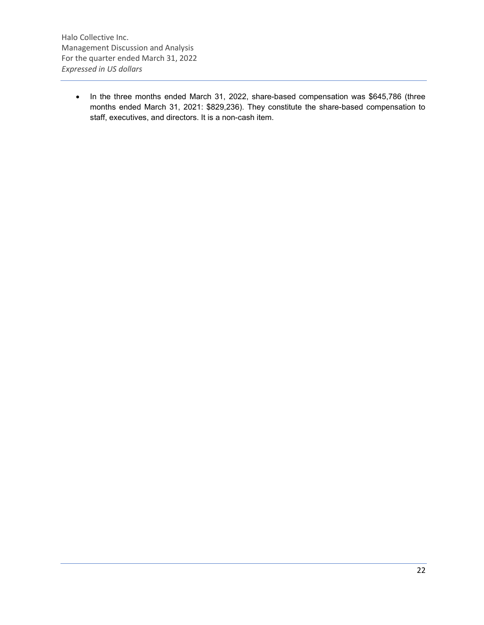• In the three months ended March 31, 2022, share-based compensation was \$645,786 (three months ended March 31, 2021: \$829,236). They constitute the share-based compensation to staff, executives, and directors. It is a non-cash item.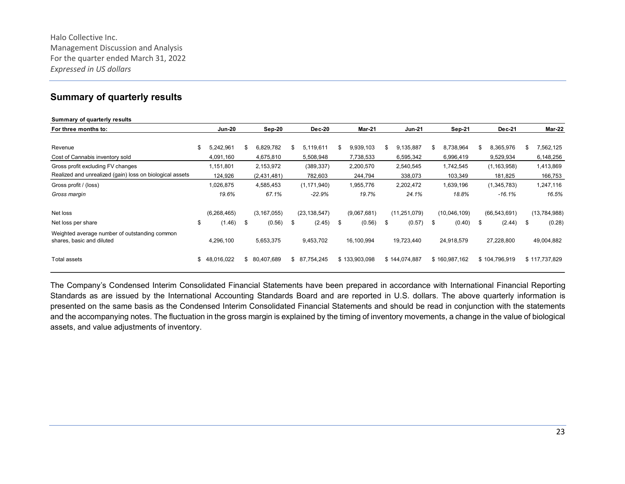## Summary of quarterly results

| Summary of quarterly results                                               |                        |     |                        |     |                         |                        |    |                        |                        |                            |     |                        |
|----------------------------------------------------------------------------|------------------------|-----|------------------------|-----|-------------------------|------------------------|----|------------------------|------------------------|----------------------------|-----|------------------------|
| For three months to:                                                       | <b>Jun-20</b>          |     | Sep-20                 |     | Dec-20                  | <b>Mar-21</b>          |    | <b>Jun-21</b>          | $Sep-21$               | <b>Dec-21</b>              |     | Mar-22                 |
| Revenue                                                                    | \$<br>5,242,961        | S   | 6,829,782              | \$. | 5,119,611               | \$<br>9,939,103        | S  | 9,135,887              | \$<br>8,738,964        | \$<br>8,365,976            | \$. | 7,562,125              |
| Cost of Cannabis inventory sold<br>Gross profit excluding FV changes       | 4,091,160<br>1,151,801 |     | 4,675,810<br>2,153,972 |     | 5,508,948<br>(389, 337) | 7,738,533<br>2,200,570 |    | 6,595,342<br>2,540,545 | 6,996,419<br>1,742,545 | 9,529,934<br>(1, 163, 958) |     | 6,148,256<br>1,413,869 |
| Realized and unrealized (gain) loss on biological assets                   | 124,926                |     | (2,431,481)            |     | 782,603                 | 244,794                |    | 338,073                | 103,349                | 181,825                    |     | 166,753                |
| Gross profit / (loss)                                                      | 1,026,875              |     | 4,585,453              |     | (1, 171, 940)           | 1,955,776              |    | 2,202,472              | 1,639,196              | (1,345,783)                |     | 1,247,116              |
| Gross margin                                                               | 19.6%                  |     | 67.1%                  |     | $-22.9%$                | 19.7%                  |    | 24.1%                  | 18.8%                  | -16.1%                     |     | 16.5%                  |
| Net loss                                                                   | (6,268,465)            |     | (3, 167, 055)          |     | (23, 138, 547)          | (9,067,681)            |    | (11, 251, 079)         | (10,046,109)           | (66, 543, 691)             |     | (13, 784, 988)         |
| Net loss per share                                                         | \$<br>(1.46)           | \$  | (0.56)                 | \$  | (2.45)                  | \$<br>(0.56)           | \$ | (0.57)                 | \$<br>(0.40)           | \$<br>(2.44)               | \$  | (0.28)                 |
| Weighted average number of outstanding common<br>shares, basic and diluted | 4,296,100              |     | 5,653,375              |     | 9,453,702               | 16,100,994             |    | 19,723,440             | 24,918,579             | 27,228,800                 |     | 49,004,882             |
| Total assets                                                               | \$<br>48,016,022       | \$. | 80,407,689             |     | \$87,754,245            | \$133,903,098          |    | \$144,074,887          | \$160,987,162          | \$104,796,919              |     | \$117,737,829          |

The Company's Condensed Interim Consolidated Financial Statements have been prepared in accordance with International Financial Reporting Standards as are issued by the International Accounting Standards Board and are reported in U.S. dollars. The above quarterly information is presented on the same basis as the Condensed Interim Consolidated Financial Statements and should be read in conjunction with the statements and the accompanying notes. The fluctuation in the gross margin is explained by the timing of inventory movements, a change in the value of biological assets, and value adjustments of inventory.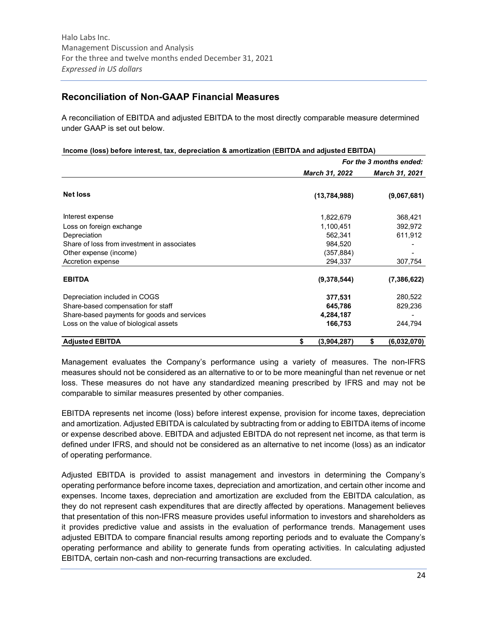## Reconciliation of Non-GAAP Financial Measures

A reconciliation of EBITDA and adjusted EBITDA to the most directly comparable measure determined under GAAP is set out below.

|                                             |                   | $= 0.1$ $\mu$ . $\alpha$ . $\alpha$ , $\alpha$ , $\alpha$ , $\alpha$ , $\alpha$ , $\alpha$ , $\alpha$ , $\alpha$<br>For the 3 months ended: |                       |  |  |
|---------------------------------------------|-------------------|---------------------------------------------------------------------------------------------------------------------------------------------|-----------------------|--|--|
|                                             | March 31, 2022    |                                                                                                                                             | <b>March 31, 2021</b> |  |  |
| <b>Net loss</b>                             | (13, 784, 988)    |                                                                                                                                             | (9,067,681)           |  |  |
| Interest expense                            | 1,822,679         |                                                                                                                                             | 368,421               |  |  |
| Loss on foreign exchange                    | 1,100,451         |                                                                                                                                             | 392,972               |  |  |
| Depreciation                                | 562,341           |                                                                                                                                             | 611,912               |  |  |
| Share of loss from investment in associates | 984,520           |                                                                                                                                             |                       |  |  |
| Other expense (income)                      | (357, 884)        |                                                                                                                                             |                       |  |  |
| Accretion expense                           | 294,337           |                                                                                                                                             | 307,754               |  |  |
| <b>EBITDA</b>                               | (9,378,544)       |                                                                                                                                             | (7,386,622)           |  |  |
| Depreciation included in COGS               | 377,531           |                                                                                                                                             | 280,522               |  |  |
| Share-based compensation for staff          | 645,786           |                                                                                                                                             | 829,236               |  |  |
| Share-based payments for goods and services | 4,284,187         |                                                                                                                                             |                       |  |  |
| Loss on the value of biological assets      | 166,753           |                                                                                                                                             | 244,794               |  |  |
| <b>Adjusted EBITDA</b>                      | (3,904,287)<br>\$ | \$                                                                                                                                          | (6,032,070)           |  |  |

#### Income (loss) before interest, tax, depreciation & amortization (EBITDA and adjusted EBITDA)

Management evaluates the Company's performance using a variety of measures. The non-IFRS measures should not be considered as an alternative to or to be more meaningful than net revenue or net loss. These measures do not have any standardized meaning prescribed by IFRS and may not be comparable to similar measures presented by other companies.

EBITDA represents net income (loss) before interest expense, provision for income taxes, depreciation and amortization. Adjusted EBITDA is calculated by subtracting from or adding to EBITDA items of income or expense described above. EBITDA and adjusted EBITDA do not represent net income, as that term is defined under IFRS, and should not be considered as an alternative to net income (loss) as an indicator of operating performance.

Adjusted EBITDA is provided to assist management and investors in determining the Company's operating performance before income taxes, depreciation and amortization, and certain other income and expenses. Income taxes, depreciation and amortization are excluded from the EBITDA calculation, as they do not represent cash expenditures that are directly affected by operations. Management believes that presentation of this non-IFRS measure provides useful information to investors and shareholders as it provides predictive value and assists in the evaluation of performance trends. Management uses adjusted EBITDA to compare financial results among reporting periods and to evaluate the Company's operating performance and ability to generate funds from operating activities. In calculating adjusted EBITDA, certain non-cash and non-recurring transactions are excluded.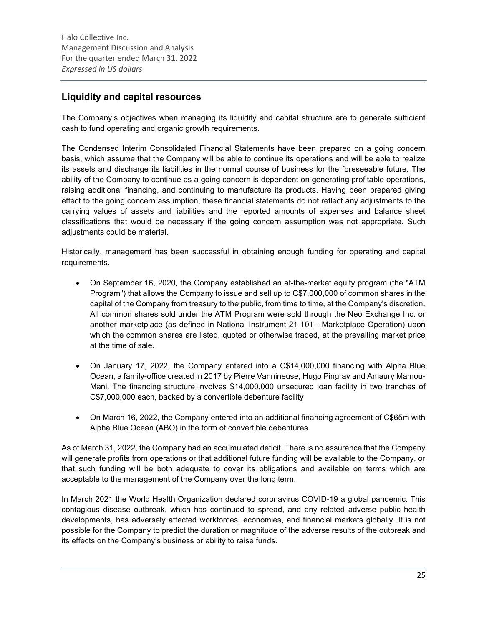## Liquidity and capital resources

The Company's objectives when managing its liquidity and capital structure are to generate sufficient cash to fund operating and organic growth requirements.

The Condensed Interim Consolidated Financial Statements have been prepared on a going concern basis, which assume that the Company will be able to continue its operations and will be able to realize its assets and discharge its liabilities in the normal course of business for the foreseeable future. The ability of the Company to continue as a going concern is dependent on generating profitable operations, raising additional financing, and continuing to manufacture its products. Having been prepared giving effect to the going concern assumption, these financial statements do not reflect any adjustments to the carrying values of assets and liabilities and the reported amounts of expenses and balance sheet classifications that would be necessary if the going concern assumption was not appropriate. Such adjustments could be material.

Historically, management has been successful in obtaining enough funding for operating and capital requirements.

- On September 16, 2020, the Company established an at-the-market equity program (the "ATM Program") that allows the Company to issue and sell up to C\$7,000,000 of common shares in the capital of the Company from treasury to the public, from time to time, at the Company's discretion. All common shares sold under the ATM Program were sold through the Neo Exchange Inc. or another marketplace (as defined in National Instrument 21-101 - Marketplace Operation) upon which the common shares are listed, quoted or otherwise traded, at the prevailing market price at the time of sale.
- On January 17, 2022, the Company entered into a C\$14,000,000 financing with Alpha Blue Ocean, a family-office created in 2017 by Pierre Vannineuse, Hugo Pingray and Amaury Mamou-Mani. The financing structure involves \$14,000,000 unsecured loan facility in two tranches of C\$7,000,000 each, backed by a convertible debenture facility
- On March 16, 2022, the Company entered into an additional financing agreement of C\$65m with Alpha Blue Ocean (ABO) in the form of convertible debentures.

As of March 31, 2022, the Company had an accumulated deficit. There is no assurance that the Company will generate profits from operations or that additional future funding will be available to the Company, or that such funding will be both adequate to cover its obligations and available on terms which are acceptable to the management of the Company over the long term.

In March 2021 the World Health Organization declared coronavirus COVID-19 a global pandemic. This contagious disease outbreak, which has continued to spread, and any related adverse public health developments, has adversely affected workforces, economies, and financial markets globally. It is not possible for the Company to predict the duration or magnitude of the adverse results of the outbreak and its effects on the Company's business or ability to raise funds.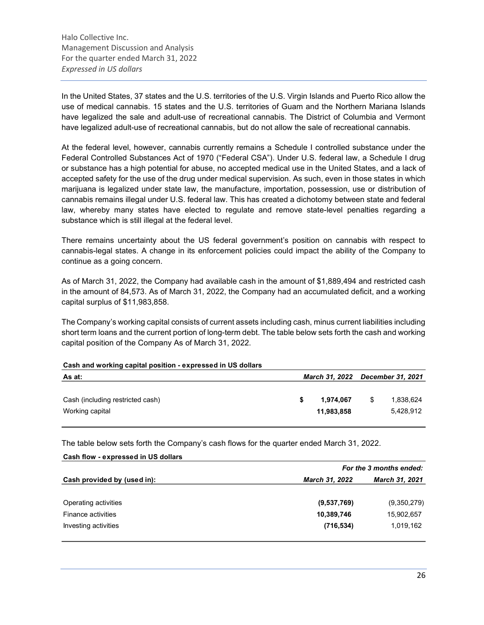In the United States, 37 states and the U.S. territories of the U.S. Virgin Islands and Puerto Rico allow the use of medical cannabis. 15 states and the U.S. territories of Guam and the Northern Mariana Islands have legalized the sale and adult-use of recreational cannabis. The District of Columbia and Vermont have legalized adult-use of recreational cannabis, but do not allow the sale of recreational cannabis.

At the federal level, however, cannabis currently remains a Schedule I controlled substance under the Federal Controlled Substances Act of 1970 ("Federal CSA"). Under U.S. federal law, a Schedule I drug or substance has a high potential for abuse, no accepted medical use in the United States, and a lack of accepted safety for the use of the drug under medical supervision. As such, even in those states in which marijuana is legalized under state law, the manufacture, importation, possession, use or distribution of cannabis remains illegal under U.S. federal law. This has created a dichotomy between state and federal law, whereby many states have elected to regulate and remove state-level penalties regarding a substance which is still illegal at the federal level.

There remains uncertainty about the US federal government's position on cannabis with respect to cannabis-legal states. A change in its enforcement policies could impact the ability of the Company to continue as a going concern.

As of March 31, 2022, the Company had available cash in the amount of \$1,889,494 and restricted cash in the amount of 84,573. As of March 31, 2022, the Company had an accumulated deficit, and a working capital surplus of \$11,983,858.

The Company's working capital consists of current assets including cash, minus current liabilities including short term loans and the current portion of long-term debt. The table below sets forth the cash and working capital position of the Company As of March 31, 2022.

| Cash and working capital position - expressed in US dollars |  |                         |    |                                  |  |  |
|-------------------------------------------------------------|--|-------------------------|----|----------------------------------|--|--|
| As at:                                                      |  |                         |    | March 31, 2022 December 31, 2021 |  |  |
| Cash (including restricted cash)<br>Working capital         |  | 1,974,067<br>11.983.858 | \$ | 1,838,624<br>5,428,912           |  |  |
|                                                             |  |                         |    |                                  |  |  |

Cash and working capital position - expressed in US dollars

The table below sets forth the Company's cash flows for the quarter ended March 31, 2022.

| Cash flow - expressed in US dollars |                         |                       |  |  |  |
|-------------------------------------|-------------------------|-----------------------|--|--|--|
|                                     | For the 3 months ended: |                       |  |  |  |
| Cash provided by (used in):         | <b>March 31, 2022</b>   | <b>March 31, 2021</b> |  |  |  |
|                                     |                         |                       |  |  |  |
| Operating activities                | (9,537,769)             | (9,350,279)           |  |  |  |
| <b>Finance activities</b>           | 10,389,746              | 15,902,657            |  |  |  |
| Investing activities                | (716, 534)              | 1,019,162             |  |  |  |
|                                     |                         |                       |  |  |  |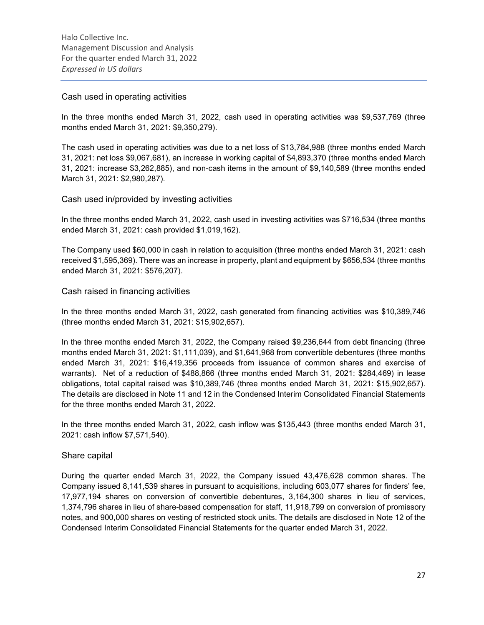### Cash used in operating activities

In the three months ended March 31, 2022, cash used in operating activities was \$9,537,769 (three months ended March 31, 2021: \$9,350,279).

The cash used in operating activities was due to a net loss of \$13,784,988 (three months ended March 31, 2021: net loss \$9,067,681), an increase in working capital of \$4,893,370 (three months ended March 31, 2021: increase \$3,262,885), and non-cash items in the amount of \$9,140,589 (three months ended March 31, 2021: \$2,980,287).

## Cash used in/provided by investing activities

In the three months ended March 31, 2022, cash used in investing activities was \$716,534 (three months ended March 31, 2021: cash provided \$1,019,162).

The Company used \$60,000 in cash in relation to acquisition (three months ended March 31, 2021: cash received \$1,595,369). There was an increase in property, plant and equipment by \$656,534 (three months ended March 31, 2021: \$576,207).

### Cash raised in financing activities

In the three months ended March 31, 2022, cash generated from financing activities was \$10,389,746 (three months ended March 31, 2021: \$15,902,657).

In the three months ended March 31, 2022, the Company raised \$9,236,644 from debt financing (three months ended March 31, 2021: \$1,111,039), and \$1,641,968 from convertible debentures (three months ended March 31, 2021: \$16,419,356 proceeds from issuance of common shares and exercise of warrants). Net of a reduction of \$488,866 (three months ended March 31, 2021: \$284,469) in lease obligations, total capital raised was \$10,389,746 (three months ended March 31, 2021: \$15,902,657). The details are disclosed in Note 11 and 12 in the Condensed Interim Consolidated Financial Statements for the three months ended March 31, 2022.

In the three months ended March 31, 2022, cash inflow was \$135,443 (three months ended March 31, 2021: cash inflow \$7,571,540).

### Share capital

During the quarter ended March 31, 2022, the Company issued 43,476,628 common shares. The Company issued 8,141,539 shares in pursuant to acquisitions, including 603,077 shares for finders' fee, 17,977,194 shares on conversion of convertible debentures, 3,164,300 shares in lieu of services, 1,374,796 shares in lieu of share-based compensation for staff, 11,918,799 on conversion of promissory notes, and 900,000 shares on vesting of restricted stock units. The details are disclosed in Note 12 of the Condensed Interim Consolidated Financial Statements for the quarter ended March 31, 2022.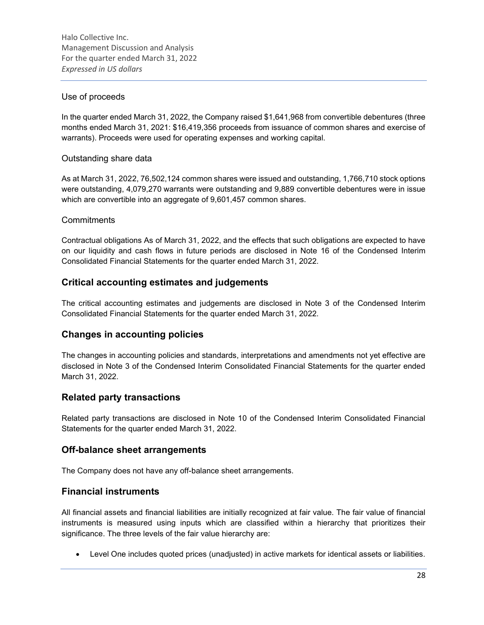## Use of proceeds

In the quarter ended March 31, 2022, the Company raised \$1,641,968 from convertible debentures (three months ended March 31, 2021: \$16,419,356 proceeds from issuance of common shares and exercise of warrants). Proceeds were used for operating expenses and working capital.

## Outstanding share data

As at March 31, 2022, 76,502,124 common shares were issued and outstanding, 1,766,710 stock options were outstanding, 4,079,270 warrants were outstanding and 9,889 convertible debentures were in issue which are convertible into an aggregate of 9,601,457 common shares.

## **Commitments**

Contractual obligations As of March 31, 2022, and the effects that such obligations are expected to have on our liquidity and cash flows in future periods are disclosed in Note 16 of the Condensed Interim Consolidated Financial Statements for the quarter ended March 31, 2022.

## Critical accounting estimates and judgements

The critical accounting estimates and judgements are disclosed in Note 3 of the Condensed Interim Consolidated Financial Statements for the quarter ended March 31, 2022.

## Changes in accounting policies

The changes in accounting policies and standards, interpretations and amendments not yet effective are disclosed in Note 3 of the Condensed Interim Consolidated Financial Statements for the quarter ended March 31, 2022.

## Related party transactions

Related party transactions are disclosed in Note 10 of the Condensed Interim Consolidated Financial Statements for the quarter ended March 31, 2022.

## Off-balance sheet arrangements

The Company does not have any off-balance sheet arrangements.

## Financial instruments

All financial assets and financial liabilities are initially recognized at fair value. The fair value of financial instruments is measured using inputs which are classified within a hierarchy that prioritizes their significance. The three levels of the fair value hierarchy are:

Level One includes quoted prices (unadjusted) in active markets for identical assets or liabilities.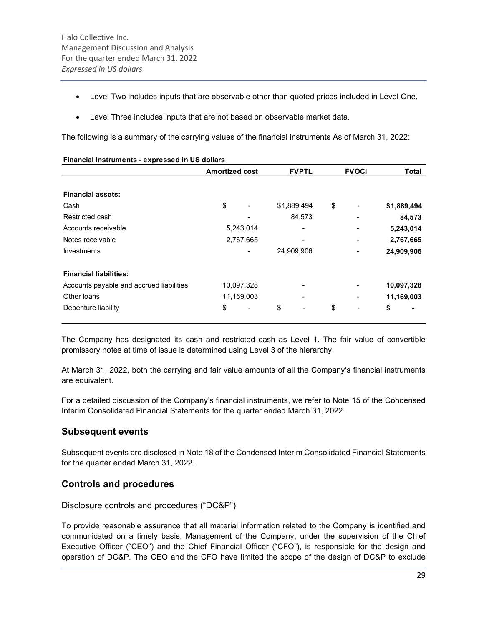- Level Two includes inputs that are observable other than quoted prices included in Level One.
- Level Three includes inputs that are not based on observable market data.

The following is a summary of the carrying values of the financial instruments As of March 31, 2022:

|                                          | <b>Amortized cost</b> |                          |    | <b>FVPTL</b> |    | <b>FVOCI</b> | <b>Total</b> |
|------------------------------------------|-----------------------|--------------------------|----|--------------|----|--------------|--------------|
| <b>Financial assets:</b>                 |                       |                          |    |              |    |              |              |
| Cash                                     | \$                    | $\overline{\phantom{a}}$ |    | \$1,889,494  | \$ |              | \$1,889,494  |
| Restricted cash                          |                       |                          |    | 84,573       |    |              | 84,573       |
| Accounts receivable                      |                       | 5,243,014                |    |              |    |              | 5,243,014    |
| Notes receivable                         |                       | 2,767,665                |    |              |    |              | 2,767,665    |
| <b>Investments</b>                       |                       | $\overline{\phantom{a}}$ |    | 24,909,906   |    |              | 24,909,906   |
| <b>Financial liabilities:</b>            |                       |                          |    |              |    |              |              |
| Accounts payable and accrued liabilities |                       | 10,097,328               |    |              |    |              | 10,097,328   |
| Other loans                              |                       | 11,169,003               |    |              |    |              | 11,169,003   |
| Debenture liability                      | \$                    | $\overline{\phantom{a}}$ | \$ |              | \$ |              | \$           |

#### Financial Instruments - expressed in US dollars

The Company has designated its cash and restricted cash as Level 1. The fair value of convertible promissory notes at time of issue is determined using Level 3 of the hierarchy.

At March 31, 2022, both the carrying and fair value amounts of all the Company's financial instruments are equivalent.

For a detailed discussion of the Company's financial instruments, we refer to Note 15 of the Condensed Interim Consolidated Financial Statements for the quarter ended March 31, 2022.

## Subsequent events

Subsequent events are disclosed in Note 18 of the Condensed Interim Consolidated Financial Statements for the quarter ended March 31, 2022.

## Controls and procedures

Disclosure controls and procedures ("DC&P")

To provide reasonable assurance that all material information related to the Company is identified and communicated on a timely basis, Management of the Company, under the supervision of the Chief Executive Officer ("CEO") and the Chief Financial Officer ("CFO"), is responsible for the design and operation of DC&P. The CEO and the CFO have limited the scope of the design of DC&P to exclude